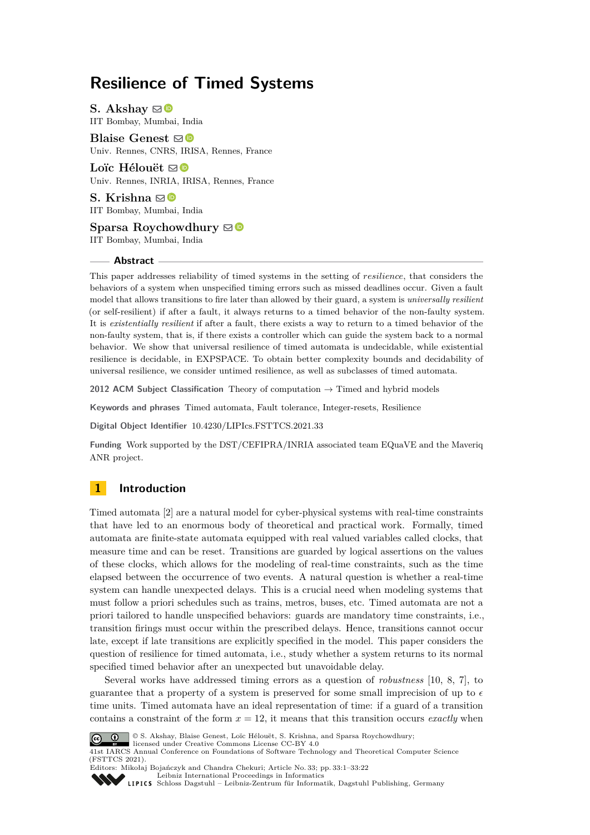# **Resilience of Timed Systems**

**S.** Akshav  $\odot$ IIT Bombay, Mumbai, India

**Blaise Genest** ⊠<sup>■</sup> Univ. Rennes, CNRS, IRISA, Rennes, France

Loïc Hélouët **⊠** Univ. Rennes, INRIA, IRISA, Rennes, France

**S.** Krishna ⊠<sup>0</sup> IIT Bombay, Mumbai, India

**Sparsa Roychowdhury**  $\Box$ 

IIT Bombay, Mumbai, India

## **Abstract**

This paper addresses reliability of timed systems in the setting of *resilience*, that considers the behaviors of a system when unspecified timing errors such as missed deadlines occur. Given a fault model that allows transitions to fire later than allowed by their guard, a system is *universally resilient* (or self-resilient) if after a fault, it always returns to a timed behavior of the non-faulty system. It is *existentially resilient* if after a fault, there exists a way to return to a timed behavior of the non-faulty system, that is, if there exists a controller which can guide the system back to a normal behavior. We show that universal resilience of timed automata is undecidable, while existential resilience is decidable, in EXPSPACE. To obtain better complexity bounds and decidability of universal resilience, we consider untimed resilience, as well as subclasses of timed automata.

**2012 ACM Subject Classification** Theory of computation → Timed and hybrid models

**Keywords and phrases** Timed automata, Fault tolerance, Integer-resets, Resilience

**Digital Object Identifier** [10.4230/LIPIcs.FSTTCS.2021.33](https://doi.org/10.4230/LIPIcs.FSTTCS.2021.33)

**Funding** Work supported by the DST/CEFIPRA/INRIA associated team EQuaVE and the Maveriq ANR project.

## **1 Introduction**

Timed automata [\[2\]](#page-16-0) are a natural model for cyber-physical systems with real-time constraints that have led to an enormous body of theoretical and practical work. Formally, timed automata are finite-state automata equipped with real valued variables called clocks, that measure time and can be reset. Transitions are guarded by logical assertions on the values of these clocks, which allows for the modeling of real-time constraints, such as the time elapsed between the occurrence of two events. A natural question is whether a real-time system can handle unexpected delays. This is a crucial need when modeling systems that must follow a priori schedules such as trains, metros, buses, etc. Timed automata are not a priori tailored to handle unspecified behaviors: guards are mandatory time constraints, i.e., transition firings must occur within the prescribed delays. Hence, transitions cannot occur late, except if late transitions are explicitly specified in the model. This paper considers the question of resilience for timed automata, i.e., study whether a system returns to its normal specified timed behavior after an unexpected but unavoidable delay.

Several works have addressed timing errors as a question of *robustness* [\[10,](#page-16-1) [8,](#page-16-2) [7\]](#page-16-3), to guarantee that a property of a system is preserved for some small imprecision of up to  $\epsilon$ time units. Timed automata have an ideal representation of time: if a guard of a transition contains a constraint of the form  $x = 12$ , it means that this transition occurs *exactly* when



© S. Akshay, Blaise Genest, Loïc Hélouët, S. Krishna, and Sparsa Roychowdhury;

licensed under Creative Commons License CC-BY 4.0 41st IARCS Annual Conference on Foundations of Software Technology and Theoretical Computer Science (FSTTCS 2021). Editors: Mikołaj Bojańczyk and Chandra Chekuri; Article No. 33; pp. 33:1–33:22

[Leibniz International Proceedings in Informatics](https://www.dagstuhl.de/lipics/) [Schloss Dagstuhl – Leibniz-Zentrum für Informatik, Dagstuhl Publishing, Germany](https://www.dagstuhl.de)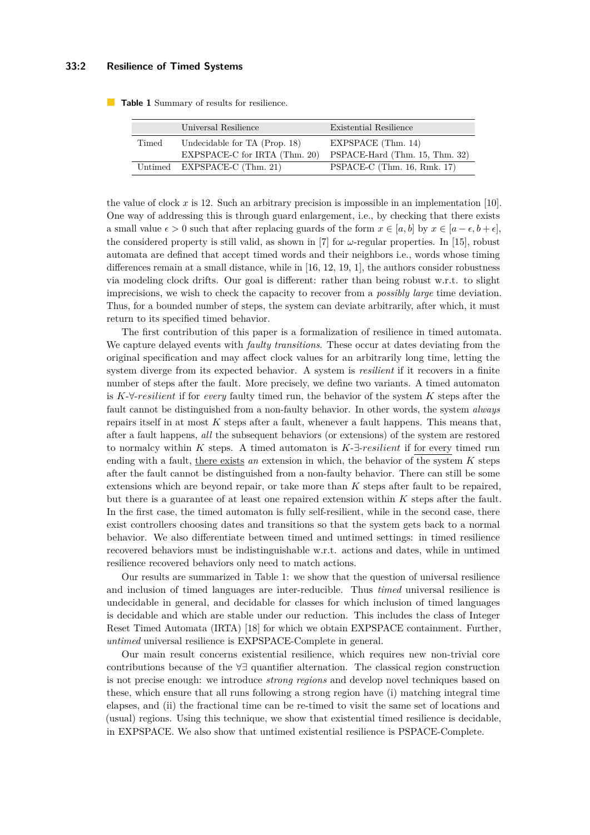## **33:2 Resilience of Timed Systems**

|       | Universal Resilience                                           | Existential Resilience                                 |
|-------|----------------------------------------------------------------|--------------------------------------------------------|
| Timed | Undecidable for TA (Prop. 18)<br>EXPSPACE-C for IRTA (Thm. 20) | EXPSPACE $(Thm. 14)$<br>PSPACE-Hard (Thm. 15, Thm. 32) |
|       | Untimed EXPSPACE-C (Thm. 21)                                   | PSPACE-C (Thm. 16, Rmk. 17)                            |

<span id="page-1-0"></span>**Table 1** Summary of results for resilience.

the value of clock  $x$  is 12. Such an arbitrary precision is impossible in an implementation [\[10\]](#page-16-1). One way of addressing this is through guard enlargement, i.e., by checking that there exists a small value  $\epsilon > 0$  such that after replacing guards of the form  $x \in [a, b]$  by  $x \in [a - \epsilon, b + \epsilon]$ , the considered property is still valid, as shown in [\[7\]](#page-16-3) for *ω*-regular properties. In [\[15\]](#page-16-4), robust automata are defined that accept timed words and their neighbors i.e., words whose timing differences remain at a small distance, while in [\[16,](#page-16-5) [12,](#page-16-6) [19,](#page-16-7) [1\]](#page-16-8), the authors consider robustness via modeling clock drifts. Our goal is different: rather than being robust w.r.t. to slight imprecisions, we wish to check the capacity to recover from a *possibly large* time deviation. Thus, for a bounded number of steps, the system can deviate arbitrarily, after which, it must return to its specified timed behavior.

The first contribution of this paper is a formalization of resilience in timed automata. We capture delayed events with *faulty transitions*. These occur at dates deviating from the original specification and may affect clock values for an arbitrarily long time, letting the system diverge from its expected behavior. A system is *resilient* if it recovers in a finite number of steps after the fault. More precisely, we define two variants. A timed automaton is *K*-∀-*resilient* if for *every* faulty timed run, the behavior of the system *K* steps after the fault cannot be distinguished from a non-faulty behavior. In other words, the system *always* repairs itself in at most *K* steps after a fault, whenever a fault happens. This means that, after a fault happens, *all* the subsequent behaviors (or extensions) of the system are restored to normalcy within *K* steps. A timed automaton is *K*-∃-*resilient* if for every timed run ending with a fault, there exists *an* extension in which, the behavior of the system *K* steps after the fault cannot be distinguished from a non-faulty behavior. There can still be some extensions which are beyond repair, or take more than *K* steps after fault to be repaired, but there is a guarantee of at least one repaired extension within *K* steps after the fault. In the first case, the timed automaton is fully self-resilient, while in the second case, there exist controllers choosing dates and transitions so that the system gets back to a normal behavior. We also differentiate between timed and untimed settings: in timed resilience recovered behaviors must be indistinguishable w.r.t. actions and dates, while in untimed resilience recovered behaviors only need to match actions.

Our results are summarized in Table [1:](#page-1-0) we show that the question of universal resilience and inclusion of timed languages are inter-reducible. Thus *timed* universal resilience is undecidable in general, and decidable for classes for which inclusion of timed languages is decidable and which are stable under our reduction. This includes the class of Integer Reset Timed Automata (IRTA) [\[18\]](#page-16-9) for which we obtain EXPSPACE containment. Further, *untimed* universal resilience is EXPSPACE-Complete in general.

Our main result concerns existential resilience, which requires new non-trivial core contributions because of the ∀∃ quantifier alternation. The classical region construction is not precise enough: we introduce *strong regions* and develop novel techniques based on these, which ensure that all runs following a strong region have (i) matching integral time elapses, and (ii) the fractional time can be re-timed to visit the same set of locations and (usual) regions. Using this technique, we show that existential timed resilience is decidable, in EXPSPACE. We also show that untimed existential resilience is PSPACE-Complete.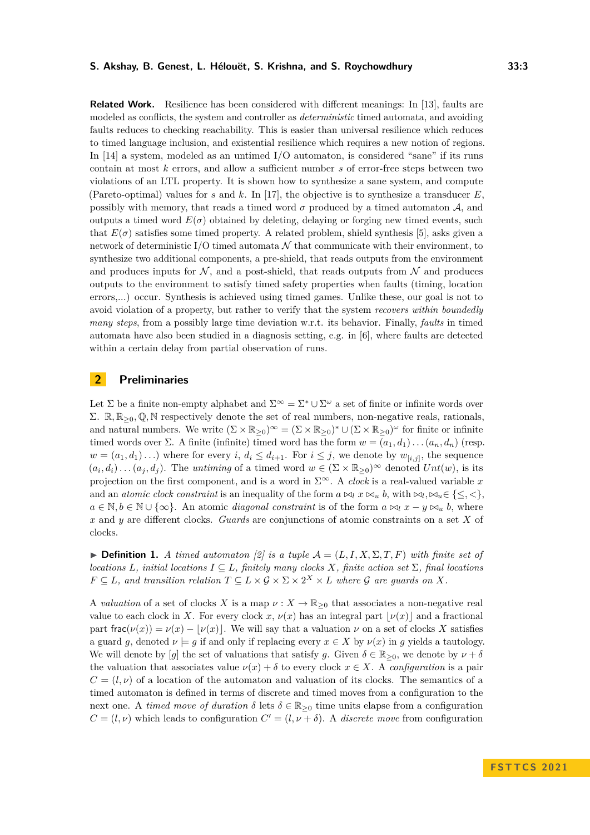modeled as conflicts, the system and controller as *deterministic* timed automata, and avoiding faults reduces to checking reachability. This is easier than universal resilience which reduces to timed language inclusion, and existential resilience which requires a new notion of regions. In [\[14\]](#page-16-11) a system, modeled as an untimed I/O automaton, is considered "sane" if its runs contain at most *k* errors, and allow a sufficient number *s* of error-free steps between two violations of an LTL property. It is shown how to synthesize a sane system, and compute (Pareto-optimal) values for *s* and *k*. In [\[17\]](#page-16-12), the objective is to synthesize a transducer *E*, possibly with memory, that reads a timed word  $\sigma$  produced by a timed automaton  $\mathcal{A}$ , and outputs a timed word  $E(\sigma)$  obtained by deleting, delaying or forging new timed events, such that  $E(\sigma)$  satisfies some timed property. A related problem, shield synthesis [\[5\]](#page-16-13), asks given a network of deterministic I/O timed automata  $N$  that communicate with their environment, to synthesize two additional components, a pre-shield, that reads outputs from the environment and produces inputs for  $N$ , and a post-shield, that reads outputs from  $N$  and produces outputs to the environment to satisfy timed safety properties when faults (timing, location errors,...) occur. Synthesis is achieved using timed games. Unlike these, our goal is not to avoid violation of a property, but rather to verify that the system *recovers within boundedly many steps*, from a possibly large time deviation w.r.t. its behavior. Finally, *faults* in timed automata have also been studied in a diagnosis setting, e.g. in [\[6\]](#page-16-14), where faults are detected within a certain delay from partial observation of runs.

## **2 Preliminaries**

Let  $\Sigma$  be a finite non-empty alphabet and  $\Sigma^{\infty} = \Sigma^* \cup \Sigma^{\omega}$  a set of finite or infinite words over Σ. R,  $\mathbb{R}_{>0}$ ,  $\mathbb{Q}$ , N respectively denote the set of real numbers, non-negative reals, rationals, and natural numbers. We write  $(\Sigma \times \mathbb{R}_{\geq 0})^{\infty} = (\Sigma \times \mathbb{R}_{\geq 0})^* \cup (\Sigma \times \mathbb{R}_{\geq 0})^{\omega}$  for finite or infinite timed words over Σ. A finite (infinite) timed word has the form  $w = (a_1, d_1) \dots (a_n, d_n)$  (resp.  $w = (a_1, d_1) \ldots$  where for every *i*,  $d_i \leq d_{i+1}$ . For  $i \leq j$ , we denote by  $w_{[i,j]}$ , the sequence  $(a_i, d_i) \dots (a_j, d_j)$ . The *untiming* of a timed word  $w \in (\Sigma \times \mathbb{R}_{\geq 0})^{\infty}$  denoted  $Unt(w)$ , is its projection on the first component, and is a word in  $\Sigma^{\infty}$ . A *clock* is a real-valued variable *x* and an *atomic clock constraint* is an inequality of the form  $a \Join_l x \Join_u b$ , with  $\Join_l,\Join_u \in \{\leq,\leq\}$ , *a* ∈ N, *b* ∈ N ∪ {∞}. An atomic *diagonal constraint* is of the form  $a \Join_l x - y \Join_u b$ , where *x* and *y* are different clocks. *Guards* are conjunctions of atomic constraints on a set *X* of clocks.

 $\triangleright$  **Definition 1.** *A timed automaton [\[2\]](#page-16-0) is a tuple*  $\mathcal{A} = (L, I, X, \Sigma, T, F)$  *with finite set of locations L, initial locations*  $I \subseteq L$ *, finitely many clocks X, finite action set*  $\Sigma$ *, final locations*  $F \subseteq L$ , and transition relation  $T \subseteq L \times G \times \Sigma \times 2^X \times L$  where G are guards on X.

A *valuation* of a set of clocks *X* is a map  $\nu : X \to \mathbb{R}_{\geq 0}$  that associates a non-negative real value to each clock in *X*. For every clock *x*,  $\nu(x)$  has an integral part  $|\nu(x)|$  and a fractional part frac $(\nu(x)) = \nu(x) - \nu(x)$ . We will say that a valuation  $\nu$  on a set of clocks *X* satisfies a guard g, denoted  $\nu \models g$  if and only if replacing every  $x \in X$  by  $\nu(x)$  in g yields a tautology. We will denote by [*g*] the set of valuations that satisfy *g*. Given  $\delta \in \mathbb{R}_{\geq 0}$ , we denote by  $\nu + \delta$ the valuation that associates value  $\nu(x) + \delta$  to every clock  $x \in X$ . A *configuration* is a pair  $C = (l, \nu)$  of a location of the automaton and valuation of its clocks. The semantics of a timed automaton is defined in terms of discrete and timed moves from a configuration to the next one. A *timed move of duration*  $\delta$  lets  $\delta \in \mathbb{R}_{\geq 0}$  time units elapse from a configuration  $C = (l, \nu)$  which leads to configuration  $C' = (l, \nu + \delta)$ . A *discrete move* from configuration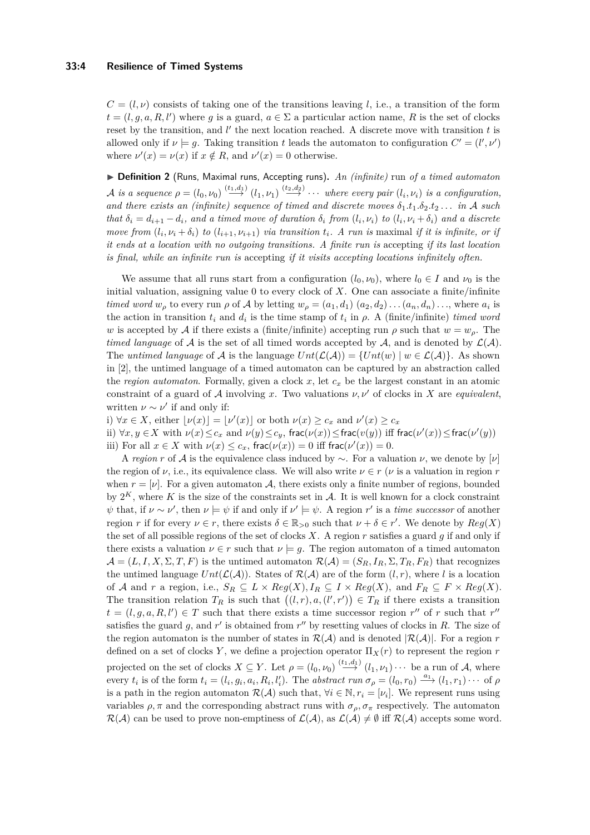$C = (l, \nu)$  consists of taking one of the transitions leaving *l*, i.e., a transition of the form  $t = (l, g, a, R, l')$  where *g* is a guard,  $a \in \Sigma$  a particular action name, *R* is the set of clocks reset by the transition, and  $l'$  the next location reached. A discrete move with transition  $t$  is allowed only if  $\nu \models g$ . Taking transition *t* leads the automaton to configuration  $C' = (l', \nu')$ where  $\nu'(x) = \nu(x)$  if  $x \notin R$ , and  $\nu'(x) = 0$  otherwise.

▶ **Definition 2** (Runs, Maximal runs, Accepting runs)**.** *An (infinite)* run *of a timed automaton*  $\mathcal{A}$  *is a sequence*  $\rho = (l_0, \nu_0) \stackrel{(t_1, d_1)}{\longrightarrow} (l_1, \nu_1) \stackrel{(t_2, d_2)}{\longrightarrow} \cdots$  where every pair  $(l_i, \nu_i)$  *is a configuration, and there exists an (infinite) sequence of timed and discrete moves*  $\delta_1 \cdot t_1 \cdot \delta_2 \cdot t_2 \ldots$  *in* A such that  $\delta_i = d_{i+1} - d_i$ , and a timed move of duration  $\delta_i$  from  $(l_i, \nu_i)$  to  $(l_i, \nu_i + \delta_i)$  and a discrete *move from*  $(l_i, \nu_i + \delta_i)$  *to*  $(l_{i+1}, \nu_{i+1})$  *via transition*  $t_i$ *. A run is* maximal *if it is infinite, or if it ends at a location with no outgoing transitions. A finite run is* accepting *if its last location is final, while an infinite run is* accepting *if it visits accepting locations infinitely often.*

We assume that all runs start from a configuration  $(l_0, \nu_0)$ , where  $l_0 \in I$  and  $\nu_0$  is the initial valuation, assigning value 0 to every clock of *X*. One can associate a finite/infinite *timed word*  $w_{\rho}$  to every run  $\rho$  of A by letting  $w_{\rho} = (a_1, d_1) (a_2, d_2) \dots (a_n, d_n) \dots$ , where  $a_i$  is the action in transition  $t_i$  and  $d_i$  is the time stamp of  $t_i$  in  $\rho$ . A (finite/infinite) *timed word w* is accepted by A if there exists a (finite/infinite) accepting run  $\rho$  such that  $w = w_\rho$ . The *timed language* of A is the set of all timed words accepted by A, and is denoted by  $\mathcal{L}(\mathcal{A})$ . The *untimed language* of A is the language  $Unt(\mathcal{L}(\mathcal{A})) = \{Unt(w) \mid w \in \mathcal{L}(\mathcal{A})\}\)$ . As shown in [\[2\]](#page-16-0), the untimed language of a timed automaton can be captured by an abstraction called the *region automaton*. Formally, given a clock  $x$ , let  $c_x$  be the largest constant in an atomic constraint of a guard of A involving x. Two valuations  $\nu, \nu'$  of clocks in X are *equivalent*, written  $\nu \sim \nu'$  if and only if:

i)  $\forall x \in X$ , either  $\lfloor \nu(x) \rfloor = \lfloor \nu'(x) \rfloor$  or both  $\nu(x) \ge c_x$  and  $\nu'(x) \ge c_x$ ii)  $\forall x, y \in X$  with  $\nu(x) \le c_x$  and  $\nu(y) \le c_y$ , frac $(\nu(x)) \le$  frac $(\nu'(y))$  iff frac $(\nu'(x)) \le$  frac $(\nu'(y))$ 

iii) For all  $x \in X$  with  $\nu(x) \le c_x$ , frac $(\nu(x)) = 0$  iff frac $(\nu'(x)) = 0$ .

A *region r* of A is the equivalence class induced by  $\sim$ . For a valuation  $\nu$ , we denote by [ $\nu$ ] the region of  $\nu$ , i.e., its equivalence class. We will also write  $\nu \in r$  ( $\nu$  is a valuation in region  $r$ when  $r = \nu$ . For a given automaton A, there exists only a finite number of regions, bounded by  $2^K$ , where K is the size of the constraints set in A. It is well known for a clock constraint  $\psi$  that, if  $\nu \sim \nu'$ , then  $\nu \models \psi$  if and only if  $\nu' \models \psi$ . A region r' is a *time successor* of another region *r* if for every  $\nu \in r$ , there exists  $\delta \in \mathbb{R}_{>0}$  such that  $\nu + \delta \in r'$ . We denote by  $Reg(X)$ the set of all possible regions of the set of clocks *X*. A region *r* satisfies a guard *g* if and only if there exists a valuation  $\nu \in r$  such that  $\nu \models q$ . The region automaton of a timed automaton  $\mathcal{A} = (L, I, X, \Sigma, T, F)$  is the untimed automaton  $\mathcal{R}(\mathcal{A}) = (S_R, I_R, \Sigma, T_R, F_R)$  that recognizes the untimed language  $Unt(\mathcal{L}(\mathcal{A}))$ . States of  $\mathcal{R}(\mathcal{A})$  are of the form  $(l, r)$ , where *l* is a location of A and r a region, i.e.,  $S_R \subseteq L \times Reg(X), I_R \subseteq I \times Reg(X),$  and  $F_R \subseteq F \times Reg(X)$ . The transition relation  $T_R$  is such that  $((l, r), a, (l', r')) \in T_R$  if there exists a transition  $t = (l, g, a, R, l') \in T$  such that there exists a time successor region *r*<sup>*n*</sup> of *r* such that *r*<sup>*n*</sup> satisfies the guard  $g$ , and  $r'$  is obtained from  $r''$  by resetting values of clocks in  $R$ . The size of the region automaton is the number of states in  $\mathcal{R}(\mathcal{A})$  and is denoted  $|\mathcal{R}(\mathcal{A})|$ . For a region *r* defined on a set of clocks *Y*, we define a projection operator  $\Pi_X(r)$  to represent the region *r* projected on the set of clocks  $X \subseteq Y$ . Let  $\rho = (l_0, \nu_0) \stackrel{(t_1, d_1)}{\longrightarrow} (l_1, \nu_1) \cdots$  be a run of A, where every  $t_i$  is of the form  $t_i = (l_i, g_i, a_i, R_i, l'_i)$ . The abstract run  $\sigma_\rho = (l_0, r_0) \xrightarrow{a_1} (l_1, r_1) \cdots$  of  $\rho$ is a path in the region automaton  $\mathcal{R}(\mathcal{A})$  such that,  $\forall i \in \mathbb{N}, r_i = [\nu_i]$ . We represent runs using variables  $\rho$ ,  $\pi$  and the corresponding abstract runs with  $\sigma_{\rho}$ ,  $\sigma_{\pi}$  respectively. The automaton  $\mathcal{R}(\mathcal{A})$  can be used to prove non-emptiness of  $\mathcal{L}(\mathcal{A})$ , as  $\mathcal{L}(\mathcal{A}) \neq \emptyset$  iff  $\mathcal{R}(\mathcal{A})$  accepts some word.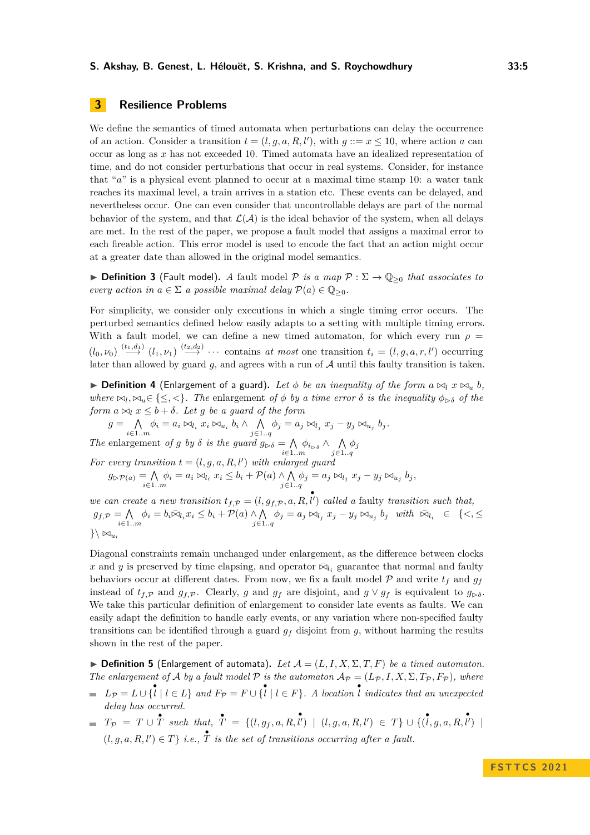## **3 Resilience Problems**

We define the semantics of timed automata when perturbations can delay the occurrence of an action. Consider a transition  $t = (l, g, a, R, l')$ , with  $g ::= x \le 10$ , where action *a* can occur as long as *x* has not exceeded 10. Timed automata have an idealized representation of time, and do not consider perturbations that occur in real systems. Consider, for instance that "*a*" is a physical event planned to occur at a maximal time stamp 10: a water tank reaches its maximal level, a train arrives in a station etc. These events can be delayed, and nevertheless occur. One can even consider that uncontrollable delays are part of the normal behavior of the system, and that  $\mathcal{L}(\mathcal{A})$  is the ideal behavior of the system, when all delays are met. In the rest of the paper, we propose a fault model that assigns a maximal error to each fireable action. This error model is used to encode the fact that an action might occur at a greater date than allowed in the original model semantics.

**► Definition 3** (Fault model). A fault model  $\mathcal{P}$  *is a map*  $\mathcal{P}$  :  $\Sigma \rightarrow \mathbb{Q}_{>0}$  *that associates to every action in*  $a \in \Sigma$  *a possible maximal delay*  $\mathcal{P}(a) \in \mathbb{Q}_{\geq 0}$ *.* 

For simplicity, we consider only executions in which a single timing error occurs. The perturbed semantics defined below easily adapts to a setting with multiple timing errors. With a fault model, we can define a new timed automaton, for which every run  $\rho =$  $(l_0, \nu_0) \stackrel{(t_1, d_1)}{\longrightarrow} (l_1, \nu_1) \stackrel{(t_2, d_2)}{\longrightarrow} \cdots$  contains *at most* one transition  $t_i = (l, g, a, r, l')$  occurring later than allowed by guard  $q$ , and agrees with a run of  $A$  until this faulty transition is taken.

▶ **Definition 4** (Enlargement of a guard). Let  $\phi$  be an inequality of the form  $a \Join_l x \Join_u b$ , *where*  $\bowtie_l$ ,  $\bowtie_u \in \{\leq, <\}$ *. The* enlargement *of*  $\phi$  *by a time error*  $\delta$  *is the inequality*  $\phi_{\triangleright \delta}$  *of the form*  $a \bowtie_l x \leq b + \delta$ *. Let g be a guard of the form* 

 $g = \Lambda$  $\bigwedge_{i \in 1..m} \phi_i = a_i \Join_{l_i} x_i \Join_{u_i} b_i \land \bigwedge_{j \in 1..m}$  $\bigwedge_{j \in 1..q} \phi_j = a_j \bowtie_{l_j} x_j - y_j \bowtie_{u_j} b_j.$ 

*The* enlargement *of g by*  $\delta$  *is the guard*  $g_{\triangleright \delta} = \bigwedge$  $\begin{array}{c} = \bigwedge_{i \in \{1...m} } \phi_{i_{\triangleright \delta}} \wedge \bigwedge_{j \in \{1...m} }$  $\bigwedge_{j \in 1..q}$ *ϕ*<sub>*j*</sub>

For every transition  $t = (l, g, a, R, l')$  with enlarged guard  $g_{\triangleright \mathcal{P}(a)} = \bigwedge$  $\sum_{i\in{1..m}}$   $\phi_i = a_i \bowtie_{l_i} x_i \leq b_i + \mathcal{P}(a) \wedge \bigwedge_{j\in{1..}}$  $\wedge \bigwedge_{j \in 1..q} \phi_j = a_j \bowtie_{l_j} x_j - y_j \bowtie_{u_j} b_j,$ 

*we can create a new transition*  $t_{f,\mathcal{P}} = (l, g_{f,\mathcal{P}}, a, R, l')$  *called a faulty transition such that,*  $g_{f,\mathcal{P}} = \bigwedge$  $\phi_i = b_i \bar{\bowtie}_{l_i} x_i \leq b_i + \mathcal{P}(a) \land \bigwedge_{j \in 1} a_j$  $\wedge \bigwedge_{j \in 1..q} \phi_j = a_j \Join_{l_j} x_j - y_j \Join_{u_j} b_j$  *with*  $\bar{\bowtie}_{l_i} \in \{ \leq, \leq j\}$  $\}\setminus \bowtie_{u_i}$ 

Diagonal constraints remain unchanged under enlargement, as the difference between clocks *x* and *y* is preserved by time elapsing, and operator  $\bar{\bowtie}_{l_i}$  guarantee that normal and faulty behaviors occur at different dates. From now, we fix a fault model  $P$  and write  $t_f$  and  $g_f$ instead of  $t_f$ , P and  $g_f$ , P . Clearly, g and  $g_f$  are disjoint, and  $g \vee g_f$  is equivalent to  $g_{\triangleright \delta}$ . We take this particular definition of enlargement to consider late events as faults. We can easily adapt the definition to handle early events, or any variation where non-specified faulty transitions can be identified through a guard  $g_f$  disjoint from  $g$ , without harming the results shown in the rest of the paper.

 $\triangleright$  **Definition 5** (Enlargement of automata). Let  $\mathcal{A} = (L, I, X, \Sigma, T, F)$  be a timed automaton. *The enlargement of* A *by a fault model* P *is the automaton*  $A_p = (L_p, I, X, \Sigma, T_p, F_p)$ *, where* 

- $L_{\mathcal{P}} = L \cup \{l | l \in L\}$  and  $F_{\mathcal{P}} = F \cup \{l | l \in F\}$ . A location *l* indicates that an unexpected *delay has occurred.*
- $T_P = T \cup \mathring{T}$  such that,  $\mathring{T} = \{ (l, g_f, a, R, l') \mid (l, g, a, R, l') \in T \} \cup \{ (l, g, a, R, l') \mid (l, g, a, R, l') \in T \}$  $(l, g, a, R, l') \in T$  *i.e.*,  $\overline{T}$  *is the set of transitions occurring after a fault.*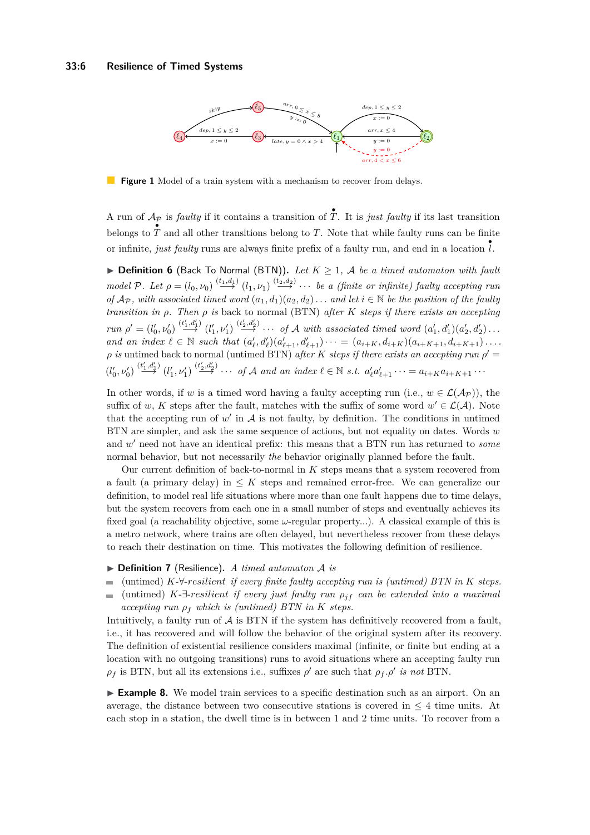#### <span id="page-5-0"></span>**33:6 Resilience of Timed Systems**



**Figure 1** Model of a train system with a mechanism to recover from delays.

A run of  $\mathcal{A}_{\mathcal{P}}$  is *faulty* if it contains a transition of  $\overline{T}$ . It is *just faulty* if its last transition belongs to  $\overline{T}$  and all other transitions belong to  $T$ . Note that while faulty runs can be finite or infinite, *just faulty* runs are always finite prefix of a faulty run, and end in a location  $\mathbf{l}$ .

 $\triangleright$  **Definition 6** (Back To Normal (BTN)). Let  $K \geq 1$ , A be a timed automaton with fault  $model \mathcal{P}$ . Let  $\rho = (l_0, \nu_0) \stackrel{(t_1, d_1)}{\longrightarrow} (l_1, \nu_1) \stackrel{(t_2, d_2)}{\longrightarrow} \cdots$  be a *(finite or infinite) faulty accepting run of*  $\mathcal{A}_{\mathcal{P}}$ *, with associated timed word*  $(a_1, d_1)(a_2, d_2) \ldots$  *and let*  $i \in \mathbb{N}$  *be the position of the faulty transition in ρ. Then ρ is* back to normal (BTN) *after K steps if there exists an accepting*  $run \rho' = (l'_0, \nu'_0) \stackrel{(t'_1, d'_1)}{\longrightarrow} (l'_1, \nu'_1) \stackrel{(t'_2, d'_2)}{\longrightarrow} \cdots$  of A with associated timed word  $(a'_1, d'_1)(a'_2, d'_2) \ldots$ and an index  $\ell \in \mathbb{N}$  such that  $(a_{\ell}', d_{\ell}') (a_{\ell+1}', d_{\ell+1}') \cdots = (a_{i+K}, d_{i+K})(a_{i+K+1}, d_{i+K+1}) \cdots$  $\rho$  *is* untimed back to normal (untimed BTN) *after K steps if there exists an accepting run*  $\rho' =$  $(l'_0,\nu'_0) \stackrel{(t'_1,d'_1)}{\longrightarrow} (l'_1,\nu'_1) \stackrel{(t'_2,d'_2)}{\longrightarrow} \cdots$  of A and an index  $\ell \in \mathbb{N}$  s.t.  $a'_\ell a'_{\ell+1} \cdots = a_{i+K} a_{i+K+1} \cdots$ 

In other words, if *w* is a timed word having a faulty accepting run (i.e.,  $w \in \mathcal{L}(\mathcal{A}_{\mathcal{P}})$ ), the suffix of *w*, *K* steps after the fault, matches with the suffix of some word  $w' \in \mathcal{L}(\mathcal{A})$ . Note that the accepting run of  $w'$  in  $A$  is not faulty, by definition. The conditions in untimed BTN are simpler, and ask the same sequence of actions, but not equality on dates. Words *w* and w' need not have an identical prefix: this means that a BTN run has returned to *some* normal behavior, but not necessarily *the* behavior originally planned before the fault.

Our current definition of back-to-normal in *K* steps means that a system recovered from a fault (a primary delay) in  $\leq K$  steps and remained error-free. We can generalize our definition, to model real life situations where more than one fault happens due to time delays, but the system recovers from each one in a small number of steps and eventually achieves its fixed goal (a reachability objective, some *ω*-regular property...). A classical example of this is a metro network, where trains are often delayed, but nevertheless recover from these delays to reach their destination on time. This motivates the following definition of resilience.

- ▶ **Definition 7** (Resilience)**.** *A timed automaton* A *is*
- $\equiv$ (untimed) *K*-∀-*resilient if every finite faulty accepting run is (untimed) BTN in K steps.*
- $\overline{a}$ (untimed) *K*-∃-*resilient if every just faulty run ρjf can be extended into a maximal accepting run ρ<sup>f</sup> which is (untimed) BTN in K steps.*

Intuitively, a faulty run of  $A$  is BTN if the system has definitively recovered from a fault, i.e., it has recovered and will follow the behavior of the original system after its recovery. The definition of existential resilience considers maximal (infinite, or finite but ending at a location with no outgoing transitions) runs to avoid situations where an accepting faulty run  $\rho_f$  is BTN, but all its extensions i.e., suffixes  $\rho'$  are such that  $\rho_f$ .  $\rho'$  *is not* BTN.

▶ **Example 8.** We model train services to a specific destination such as an airport. On an average, the distance between two consecutive stations is covered in  $\leq 4$  time units. At each stop in a station, the dwell time is in between 1 and 2 time units. To recover from a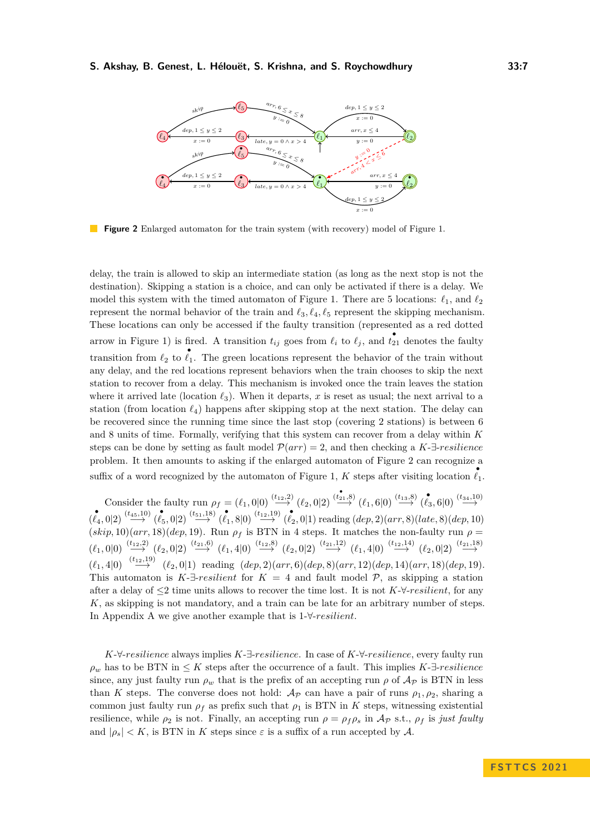<span id="page-6-0"></span>

**Figure 2** Enlarged automaton for the train system (with recovery) model of Figure [1.](#page-5-0)

delay, the train is allowed to skip an intermediate station (as long as the next stop is not the destination). Skipping a station is a choice, and can only be activated if there is a delay. We model this system with the timed automaton of Figure [1.](#page-5-0) There are 5 locations:  $\ell_1$ , and  $\ell_2$ represent the normal behavior of the train and  $\ell_3, \ell_4, \ell_5$  represent the skipping mechanism. These locations can only be accessed if the faulty transition (represented as a red dotted arrow in Figure [1\)](#page-5-0) is fired. A transition  $t_{ij}$  goes from  $\ell_i$  to  $\ell_j$ , and  $\hat{t}_{21}$  denotes the faulty transition from  $\ell_2$  to  $\ell_1$ . The green locations represent the behavior of the train without any delay, and the red locations represent behaviors when the train chooses to skip the next station to recover from a delay. This mechanism is invoked once the train leaves the station where it arrived late (location  $\ell_3$ ). When it departs, x is reset as usual; the next arrival to a station (from location  $\ell_4$ ) happens after skipping stop at the next station. The delay can be recovered since the running time since the last stop (covering 2 stations) is between 6 and 8 units of time. Formally, verifying that this system can recover from a delay within *K* steps can be done by setting as fault model  $\mathcal{P}(arr) = 2$ , and then checking a *K*- $\exists$ -*resilience* problem. It then amounts to asking if the enlarged automaton of Figure [2](#page-6-0) can recognize a suffix of a word recognized by the automaton of Figure [1,](#page-5-0)  $K$  steps after visiting location  $\ell_1$ .

Consider the faulty run  $\rho_f = (\ell_1, 0|0) \stackrel{(t_{12},2)}{\longrightarrow} (\ell_2, 0|2) \stackrel{(t_{21},8)}{\longrightarrow} (\ell_1, 6|0) \stackrel{(t_{13},8)}{\longrightarrow} (\ell_3, 6|0) \stackrel{(t_{34},10)}{\longrightarrow}$  $(\ell_4, 0|2) \stackrel{(t_{45},10)}{\longrightarrow} (\ell_5, 0|2) \stackrel{(t_{51},18)}{\longrightarrow} (\ell_1, 8|0) \stackrel{(t_{12},19)}{\longrightarrow} (\ell_2, 0|1)$  reading  $(dep, 2)(arr, 8)(late, 8)(dep, 10)$  $(\text{skip}, 10)(\text{arr}, 18)(\text{dep}, 19)$ . Run  $\rho_f$  is BTN in 4 steps. It matches the non-faulty run  $\rho =$  $(\ell_1,0|0) \stackrel{(t_{12},2)}{\longrightarrow} (\ell_2,0|2) \stackrel{(t_{21},6)}{\longrightarrow} (\ell_1,4|0) \stackrel{(t_{12},8)}{\longrightarrow} (\ell_2,0|2) \stackrel{(t_{21},12)}{\longrightarrow} (\ell_1,4|0) \stackrel{(t_{12},14)}{\longrightarrow} (\ell_2,0|2) \stackrel{(t_{21},18)}{\longrightarrow}$  $(\ell_1, 4|0) \stackrel{(t_{12}, 19)}{\longrightarrow} (\ell_2, 0|1)$  reading  $(dep, 2)(arr, 6)(dep, 8)(arr, 12)(dep, 14)(arr, 18)(dep, 19).$ This automaton is *K*- $\exists$ -*resilient* for *K* = 4 and fault model  $P$ , as skipping a station after a delay of ≤2 time units allows to recover the time lost. It is not *K*-∀-*resilient*, for any *K*, as skipping is not mandatory, and a train can be late for an arbitrary number of steps. In Appendix [A](#page-17-0) we give another example that is 1-∀-*resilient*.

*K*-∀-*resilience* always implies *K*-∃-*resilience*. In case of *K*-∀-*resilience*, every faulty run  $\rho_w$  has to be BTN in  $\leq K$  steps after the occurrence of a fault. This implies  $K$ - $\exists$ -resilience since, any just faulty run  $\rho_w$  that is the prefix of an accepting run  $\rho$  of  $\mathcal{A}_{\mathcal{P}}$  is BTN in less than *K* steps. The converse does not hold:  $A_p$  can have a pair of runs  $\rho_1, \rho_2$ , sharing a common just faulty run  $\rho_f$  as prefix such that  $\rho_1$  is BTN in *K* steps, witnessing existential resilience, while  $\rho_2$  is not. Finally, an accepting run  $\rho = \rho_f \rho_s$  in  $\mathcal{A}_{\mathcal{P}}$  s.t.,  $\rho_f$  is *just faulty* and  $|\rho_s|$  < K, is BTN in K steps since  $\varepsilon$  is a suffix of a run accepted by A.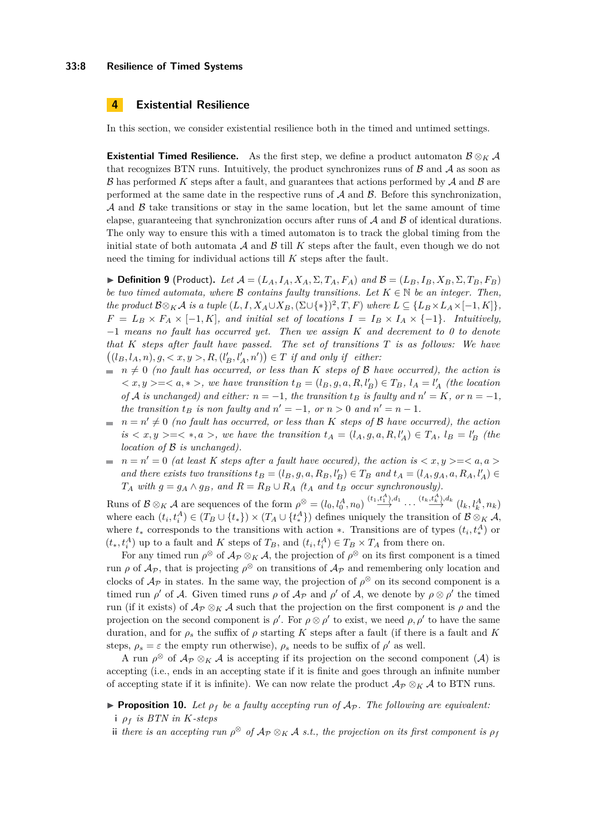#### **33:8 Resilience of Timed Systems**

## **4 Existential Resilience**

In this section, we consider existential resilience both in the timed and untimed settings.

**Existential Timed Resilience.** As the first step, we define a product automaton  $\mathcal{B} \otimes_K \mathcal{A}$ that recognizes BTN runs. Intuitively, the product synchronizes runs of  $\beta$  and  $\lambda$  as soon as  $\beta$  has performed *K* steps after a fault, and guarantees that actions performed by  $\mathcal A$  and  $\mathcal B$  are performed at the same date in the respective runs of  $A$  and  $B$ . Before this synchronization,  $\mathcal A$  and  $\mathcal B$  take transitions or stay in the same location, but let the same amount of time elapse, guaranteeing that synchronization occurs after runs of  $A$  and  $B$  of identical durations. The only way to ensure this with a timed automaton is to track the global timing from the initial state of both automata  $A$  and  $B$  till  $K$  steps after the fault, even though we do not need the timing for individual actions till *K* steps after the fault.

<span id="page-7-1"></span>**Definition 9** (Product). Let  $\mathcal{A} = (L_A, I_A, X_A, \Sigma, T_A, F_A)$  and  $\mathcal{B} = (L_B, I_B, X_B, \Sigma, T_B, F_B)$ *be two timed automata, where*  $\beta$  *contains faulty transitions. Let*  $K \in \mathbb{N}$  *be an integer. Then, the product*  $\mathcal{B} \otimes_K \mathcal{A}$  *is a tuple*  $(L, I, X_A \cup X_B, (\Sigma \cup \{*\})^2, T, F)$  *where*  $L \subseteq \{L_B \times L_A \times [-1, K]\},$  $F = L_B \times F_A \times [-1, K]$ , and initial set of locations  $I = I_B \times I_A \times \{-1\}$ . Intuitively, −1 *means no fault has occurred yet. Then we assign K and decrement to 0 to denote that K steps after fault have passed. The set of transitions T is as follows: We have*  $((l_B, l_A, n), g, \langle x, y \rangle, R, (l'_B, l'_A, n')) \in T$  *if and only if either:* 

- $= n \neq 0$  (no fault has occurred, or less than K steps of B have occurred), the action is  $\langle x, y \rangle = \langle a, * \rangle$ , we have transition  $t_B = (l_B, g, a, R, l'_B) \in T_B$ ,  $l_A = l'_A$  (the location *of A is unchanged) and either:*  $n = -1$ *, the transition*  $t_B$  *is faulty and*  $n' = K$ *, or*  $n = -1$ *, the transition*  $t_B$  *is non faulty and*  $n' = -1$ *, or*  $n > 0$  *and*  $n' = n - 1$ *.*
- $n = n' \neq 0$  (no fault has occurred, or less than K steps of B have occurred), the action  $is < x, y > = <*, a>, we have the transition t_A = (l_A, g, a, R, l'_A) \in T_A$ ,  $l_B = l'_B$  (the *location of* B *is unchanged).*
- $n = n' = 0$  *(at least K steps after a fault have occured), the action is*  $\langle x, y \rangle = \langle a, a \rangle$ and there exists two transitions  $t_B = (l_B, g, a, R_B, l'_B) \in T_B$  and  $t_A = (l_A, g_A, a, R_A, l'_A) \in T_B$  $T_A$  *with*  $g = g_A \wedge g_B$ *, and*  $R = R_B \cup R_A$  *(t<sub>A</sub> and*  $t_B$  *occur synchronously).*

Runs of  $\mathcal{B} \otimes_K \mathcal{A}$  are sequences of the form  $\rho^{\otimes} = (l_0, l_0^A, n_0) \stackrel{(t_1, t_1^A), d_1}{\longrightarrow} \cdots \stackrel{(t_k, t_k^A), d_k}{\longrightarrow} (l_k, l_k^A, n_k)$ where each  $(t_i, t_i^A) \in (T_B \cup \{t_*\}) \times (T_A \cup \{t_*^A\})$  defines uniquely the transition of  $B \otimes_K A$ , where  $t_*$  corresponds to the transitions with action  $*$ . Transitions are of types  $(t_i, t_*^A)$  or  $(t_*, t_i^A)$  up to a fault and *K* steps of  $T_B$ , and  $(t_i, t_i^A) \in T_B \times T_A$  from there on.

For any timed run  $\rho^{\otimes}$  of  $\mathcal{A}_{\mathcal{P}} \otimes_K \mathcal{A}$ , the projection of  $\rho^{\otimes}$  on its first component is a timed run  $\rho$  of  $\mathcal{A}_{\mathcal{P}}$ , that is projecting  $\rho^{\otimes}$  on transitions of  $\mathcal{A}_{\mathcal{P}}$  and remembering only location and clocks of  $\mathcal{A}_{\mathcal{P}}$  in states. In the same way, the projection of  $\rho^{\otimes}$  on its second component is a timed run  $\rho'$  of A. Given timed runs  $\rho$  of  $\mathcal{A}_{\mathcal{P}}$  and  $\rho'$  of A, we denote by  $\rho \otimes \rho'$  the timed run (if it exists) of  $\mathcal{A}_{\mathcal{P}} \otimes_K \mathcal{A}$  such that the projection on the first component is  $\rho$  and the projection on the second component is  $\rho'$ . For  $\rho \otimes \rho'$  to exist, we need  $\rho, \rho'$  to have the same duration, and for  $\rho_s$  the suffix of  $\rho$  starting K steps after a fault (if there is a fault and K steps,  $\rho_s = \varepsilon$  the empty run otherwise),  $\rho_s$  needs to be suffix of  $\rho'$  as well.

A run  $\rho^{\otimes}$  of  $\mathcal{A}_{\mathcal{P}} \otimes_K \mathcal{A}$  is accepting if its projection on the second component  $(\mathcal{A})$  is accepting (i.e., ends in an accepting state if it is finite and goes through an infinite number of accepting state if it is infinite). We can now relate the product  $\mathcal{A}_{\mathcal{P}} \otimes_K \mathcal{A}$  to BTN runs.

- <span id="page-7-0"></span>**• Proposition 10.** Let  $\rho_f$  be a faulty accepting run of  $A_p$ . The following are equivalent: **i** *ρ<sup>f</sup> is BTN in K-steps*
- **ii** there is an accepting run  $\rho^{\otimes}$  of  $\mathcal{A}_{\mathcal{P}} \otimes_K \mathcal{A}$  *s.t., the projection on its first component is*  $\rho_f$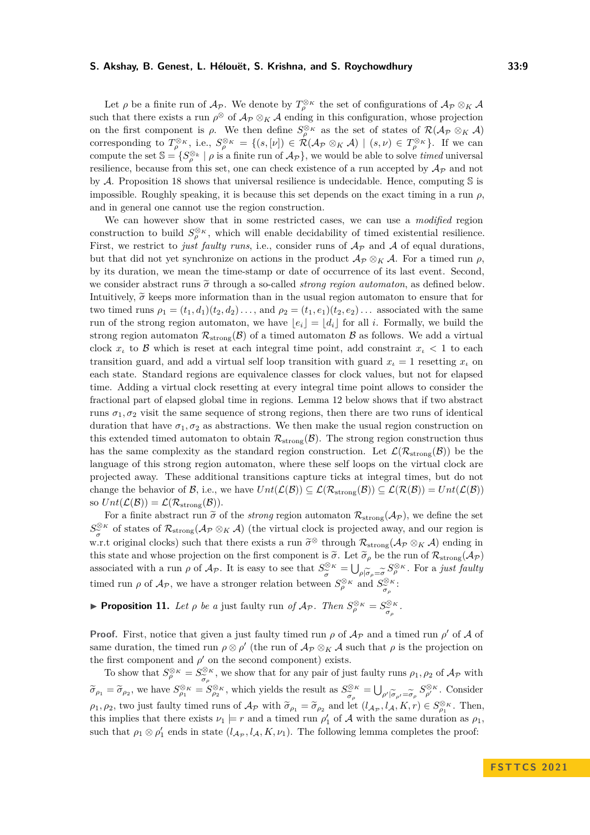Let  $\rho$  be a finite run of  $\mathcal{A}_{\mathcal{P}}$ . We denote by  $T_{\rho}^{\otimes_K}$  the set of configurations of  $\mathcal{A}_{\mathcal{P}} \otimes_K \mathcal{A}$ such that there exists a run  $\rho^{\otimes}$  of  $\mathcal{A}_{\mathcal{P}} \otimes_K \mathcal{A}$  ending in this configuration, whose projection on the first component is  $\rho$ . We then define  $S^{\otimes \kappa}_{\rho}$  as the set of states of  $\mathcal{R}(\mathcal{A}_{\mathcal{P}} \otimes_K \mathcal{A})$ corresponding to  $T_{\rho}^{\otimes K}$ , i.e.,  $S_{\rho}^{\otimes K} = \{(s,[\nu]) \in \mathcal{R}(\mathcal{A}_{\mathcal{P}} \otimes_K \mathcal{A}) \mid (s,\nu) \in T_{\rho}^{\otimes K}\}.$  If we can compute the set  $\mathbb{S} = \{ S_\rho^{\otimes_k} \mid \rho \text{ is a finite run of } \mathcal{A}_{\mathcal{P}} \}$ , we would be able to solve *timed* universal resilience, because from this set, one can check existence of a run accepted by  $\mathcal{A}_{\mathcal{P}}$  and not by A. Proposition [18](#page-13-0) shows that universal resilience is undecidable. Hence, computing S is impossible. Roughly speaking, it is because this set depends on the exact timing in a run  $\rho$ . and in general one cannot use the region construction.

We can however show that in some restricted cases, we can use a *modified* region construction to build  $S_{\rho}^{\otimes K}$ , which will enable decidability of timed existential resilience. First, we restrict to *just faulty runs*, i.e., consider runs of  $A_p$  and A of equal durations, but that did not yet synchronize on actions in the product  $\mathcal{A}_{\mathcal{P}} \otimes_K \mathcal{A}$ . For a timed run  $\rho$ , by its duration, we mean the time-stamp or date of occurrence of its last event. Second, we consider abstract runs  $\tilde{\sigma}$  through a so-called *strong region automaton*, as defined below. Intuitively,  $\tilde{\sigma}$  keeps more information than in the usual region automaton to ensure that for two timed runs  $\rho_1 = (t_1, d_1)(t_2, d_2) \ldots$ , and  $\rho_2 = (t_1, e_1)(t_2, e_2) \ldots$  associated with the same run of the strong region automaton, we have  $\lfloor e_i \rfloor = \lfloor d_i \rfloor$  for all *i*. Formally, we build the strong region automaton  $\mathcal{R}_{\text{strong}}(\mathcal{B})$  of a timed automaton  $\mathcal{B}$  as follows. We add a virtual clock  $x_i$  to B which is reset at each integral time point, add constraint  $x_i < 1$  to each transition guard, and add a virtual self loop transition with guard  $x_i = 1$  resetting  $x_i$  on each state. Standard regions are equivalence classes for clock values, but not for elapsed time. Adding a virtual clock resetting at every integral time point allows to consider the fractional part of elapsed global time in regions. Lemma [12](#page-9-0) below shows that if two abstract runs  $\sigma_1, \sigma_2$  visit the same sequence of strong regions, then there are two runs of identical duration that have  $\sigma_1, \sigma_2$  as abstractions. We then make the usual region construction on this extended timed automaton to obtain  $\mathcal{R}_{strong}(\mathcal{B})$ . The strong region construction thus has the same complexity as the standard region construction. Let  $\mathcal{L}(\mathcal{R}_{strong}(\mathcal{B}))$  be the language of this strong region automaton, where these self loops on the virtual clock are projected away. These additional transitions capture ticks at integral times, but do not change the behavior of B, i.e., we have  $Unt(\mathcal{L}(\mathcal{B})) \subseteq \mathcal{L}(\mathcal{R}_{strong}(\mathcal{B})) \subseteq \mathcal{L}(\mathcal{R}(\mathcal{B})) = Unt(\mathcal{L}(\mathcal{B}))$ so  $Unt(\mathcal{L}(\mathcal{B})) = \mathcal{L}(\mathcal{R}_{\text{strong}}(\mathcal{B})).$ 

For a finite abstract run  $\tilde{\sigma}$  of the *strong* region automaton  $\mathcal{R}_{\text{strong}}(\mathcal{A}_{\mathcal{P}})$ , we define the set  $S^{\otimes K}_{\simeq}$  of states of  $\mathcal{R}_{\text{strong}}(\mathcal{A}_{\mathcal{P}} \otimes_K \mathcal{A})$  (the virtual clock is projected away, and our region is er states of *restring*( $\mathcal{L}_F \circ_R \mathcal{L}_I$ ) (see the case of a result is projected along), such that there exists a run  $\tilde{\sigma}^{\otimes}$  through  $\mathcal{R}_{\text{strong}}(\mathcal{A}_P \otimes_K \mathcal{A})$  ending in this state and whose projection on the first component is  $\tilde{\sigma}$ . Let  $\tilde{\sigma}_{\rho}$  be the run of  $\mathcal{R}_{\text{strong}}(\mathcal{A}_{\mathcal{P}})$ associated with a run  $\rho$  of  $\mathcal{A}_{\mathcal{P}}$ . It is easy to see that  $S^{\otimes \kappa}_{\widetilde{\sigma}} = \bigcup_{\rho | \widetilde{\sigma}_\rho = \widetilde{\sigma}} S^{\otimes \kappa}_\rho$ . For a *just faulty*  $\lim_{\sigma}$  but  $\lim_{\sigma}$  *p* or  $\mathcal{A}_{\mathcal{P}}$ , we have a stronger relation between  $S_{\rho}^{\otimes \kappa}$  and  $S_{\tilde{\rho}}^{\otimes \kappa}$  and  $S_{\tilde{\rho}}^{\otimes \kappa}$ e*σρ* :

<span id="page-8-0"></span>**Proposition 11.** *Let*  $\rho$  *be a* just faulty run *of*  $\mathcal{A}_{\mathcal{P}}$ *. Then*  $S_{\rho}^{\otimes K} = S_{\tilde{\rho}}^{\otimes K}$ e*σρ .*

**Proof.** First, notice that given a just faulty timed run  $\rho$  of  $\mathcal{A}_{\mathcal{P}}$  and a timed run  $\rho'$  of  $\mathcal A$  of same duration, the timed run  $\rho \otimes \rho'$  (the run of  $\mathcal{A}_{\mathcal{P}} \otimes_K \mathcal{A}$  such that  $\rho$  is the projection on the first component and  $\rho'$  on the second component) exists.

To show that  $S_{\rho}^{\otimes K} = S_{\tilde{\rho}}^{\otimes K}$ , we show that for any pair of just faulty runs  $\rho_1, \rho_2$  of  $\mathcal{A}_{\mathcal{P}}$  with e*σρ*  $\widetilde{\sigma}_{\rho_1} = \widetilde{\sigma}_{\rho_2}$ , we have  $S^{\otimes K}_{\rho_1} = S^{\otimes K}_{\rho_2}$ , which yields the result as  $S^{\otimes K}_{\widetilde{\sigma}_{\rho}}$  $\begin{array}{l}\n\sqrt{\infty}\kappa \\
\widetilde{\sigma}_{\rho} & \end{array}$   $\bigcup_{\rho'|\widetilde{\sigma}_{\rho'}=\widetilde{\sigma}_{\rho}} S_{\rho'}^{\otimes K}$ . Consider *ρ*<sub>1</sub>*, ρ*<sub>2</sub>*,* two just faulty timed runs of  $\mathcal{A}_{\mathcal{P}}$  with  $\widetilde{\sigma}_{\rho_1} = \widetilde{\sigma}_{\rho_2}$  and let  $(l_{\mathcal{A}_{\mathcal{P}}}, l_{\mathcal{A}}, K, r) \in S^{\otimes K}_{\rho_1}$ . Then, this implies that there exists  $u \downarrow v$  and a timed num of of 4 wit this implies that there exists  $\nu_1 \models r$  and a timed run  $\rho'_1$  of A with the same duration as  $\rho_1$ , such that  $\rho_1 \otimes \rho'_1$  ends in state  $(l_{\mathcal{A}_{\mathcal{P}}}, l_{\mathcal{A}}, K, \nu_1)$ . The following lemma completes the proof: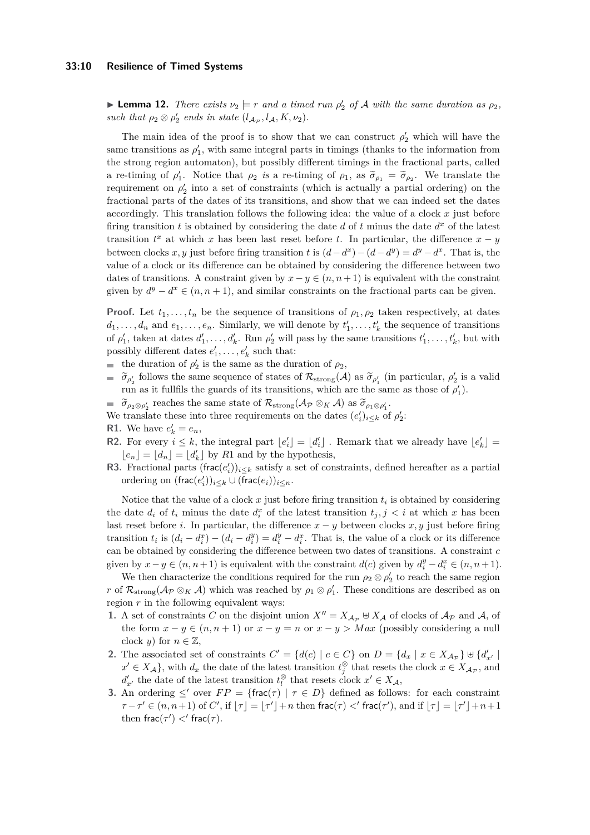#### **33:10 Resilience of Timed Systems**

<span id="page-9-0"></span>**Example 12.** *There exists*  $\nu_2 \models r$  *and a timed run*  $\rho'_2$  *of* A *with the same duration as*  $\rho_2$ *, such that*  $\rho_2 \otimes \rho'_2$  *ends in state*  $(l_{\mathcal{A}_{\mathcal{P}}}, l_{\mathcal{A}}, K, \nu_2)$ *.* 

The main idea of the proof is to show that we can construct  $\rho'_2$  which will have the same transitions as  $\rho'_1$ , with same integral parts in timings (thanks to the information from the strong region automaton), but possibly different timings in the fractional parts, called a re-timing of  $\rho'_1$ . Notice that  $\rho_2$  *is* a re-timing of  $\rho_1$ , as  $\tilde{\sigma}_{\rho_1} = \tilde{\sigma}_{\rho_2}$ . We translate the requirement on  $\rho'_2$  into a set of constraints (which is actually a partial ordering) on the fractional parts of the dates of its transitions, and show that we can indeed set the dates accordingly. This translation follows the following idea: the value of a clock *x* just before firing transition  $t$  is obtained by considering the date  $d$  of  $t$  minus the date  $d^x$  of the latest transition  $t^x$  at which *x* has been last reset before *t*. In particular, the difference  $x - y$ between clocks *x*, *y* just before firing transition *t* is  $(d - d^x) - (d - d^y) = d^y - d^x$ . That is, the value of a clock or its difference can be obtained by considering the difference between two dates of transitions. A constraint given by  $x - y \in (n, n + 1)$  is equivalent with the constraint given by  $d^y - d^x \in (n, n + 1)$ , and similar constraints on the fractional parts can be given.

**Proof.** Let  $t_1, \ldots, t_n$  be the sequence of transitions of  $\rho_1, \rho_2$  taken respectively, at dates  $d_1, \ldots, d_n$  and  $e_1, \ldots, e_n$ . Similarly, we will denote by  $t'_1, \ldots, t'_k$  the sequence of transitions of  $\rho'_1$ , taken at dates  $d'_1, \ldots, d'_k$ . Run  $\rho'_2$  will pass by the same transitions  $t'_1, \ldots, t'_k$ , but with possibly different dates  $e'_1, \ldots, e'_k$  such that:

- the duration of  $\rho'_2$  is the same as the duration of  $\rho_2$ ,
- $\tilde{\sigma}_{\rho_2}$  follows the same sequence of states of  $\mathcal{R}_{strong}(\mathcal{A})$  as  $\tilde{\sigma}_{\rho_1}$  (in particular,  $\rho_2'$  is a valid run as it fullfils the guards of its transitions, which are the same as those of  $\rho'_1$ ).
- $\widetilde{\sigma}_{\rho_2 \otimes \rho'_2}$  reaches the same state of  $\mathcal{R}_{\text{strong}}(\mathcal{A}_{\mathcal{P}} \otimes_K \mathcal{A})$  as  $\widetilde{\sigma}_{\rho_1 \otimes \rho'_1}$ .
- We translate these into three requirements on the dates  $(e'_i)_{i \leq k}$  of  $\rho'_2$ :
- **R1.** We have  $e'_k = e_n$ ,
- **R2.** For every  $i \leq k$ , the integral part  $\lfloor e'_i \rfloor = \lfloor d'_i \rfloor$ . Remark that we already have  $\lfloor e'_k \rfloor =$  $\lfloor e_n \rfloor = \lfloor d_n \rfloor = \lfloor d'_k \rfloor$  by  $R1$  and by the hypothesis,
- **R3.** Fractional parts  $(\text{frac}(e_i))_{i \leq k}$  satisfy a set of constraints, defined hereafter as a partial  $\operatorname{ordering} \ \operatorname{on} \ (\operatorname{\sf frac}(e_i'))_{i \leq k} \cup (\operatorname{\sf frac}(e_i))_{i \leq n}.$

Notice that the value of a clock  $x$  just before firing transition  $t_i$  is obtained by considering the date  $d_i$  of  $t_i$  minus the date  $d_i^x$  of the latest transition  $t_j$ ,  $j < i$  at which *x* has been last reset before *i*. In particular, the difference  $x - y$  between clocks  $x, y$  just before firing transition  $t_i$  is  $(d_i - d_i^x) - (d_i - d_i^y) = d_i^y - d_i^x$ . That is, the value of a clock or its difference can be obtained by considering the difference between two dates of transitions. A constraint *c* given by  $x - y \in (n, n + 1)$  is equivalent with the constraint  $d(c)$  given by  $d_i^y - d_i^x \in (n, n + 1)$ .

We then characterize the conditions required for the run  $\rho_2 \otimes \rho_2'$  to reach the same region *r* of  $\mathcal{R}_{\text{strong}}(\mathcal{A}_{\mathcal{P}} \otimes_K \mathcal{A})$  which was reached by  $\rho_1 \otimes \rho'_1$ . These conditions are described as on region *r* in the following equivalent ways:

- **1.** A set of constraints *C* on the disjoint union  $X'' = X_{A_p} \oplus X_A$  of clocks of  $A_p$  and A, of the form  $x - y \in (n, n + 1)$  or  $x - y = n$  or  $x - y > Max$  (possibly considering a null clock *y*) for  $n \in \mathbb{Z}$ ,
- 2. The associated set of constraints  $C' = \{d(c) | c \in C\}$  on  $D = \{d_x | x \in X_{\mathcal{A}_{\mathcal{P}}} \}$  ⊎  $\{d'_{x'} |$  $x' \in X_{\mathcal{A}}$ , with  $d_x$  the date of the latest transition  $t_j^{\otimes}$  that resets the clock  $x \in X_{\mathcal{A}_{\mathcal{P}}}$ , and  $d'_{x'}$  the date of the latest transition  $t_l^{\otimes}$  that resets clock  $x' \in X_{\mathcal{A}}$ ,
- **3.** An ordering  $\leq'$  over  $FP = \{\text{frac}(\tau) \mid \tau \in D\}$  defined as follows: for each constraint  $\tau-\tau' \in (n, n+1)$  of *C*', if  $\lfloor \tau \rfloor = \lfloor \tau' \rfloor + n$  then frac $(\tau) <$ ' frac $(\tau')$ , and if  $\lfloor \tau \rfloor = \lfloor \tau' \rfloor + n + 1$ then  $frac(\tau') <' frac(\tau)$ .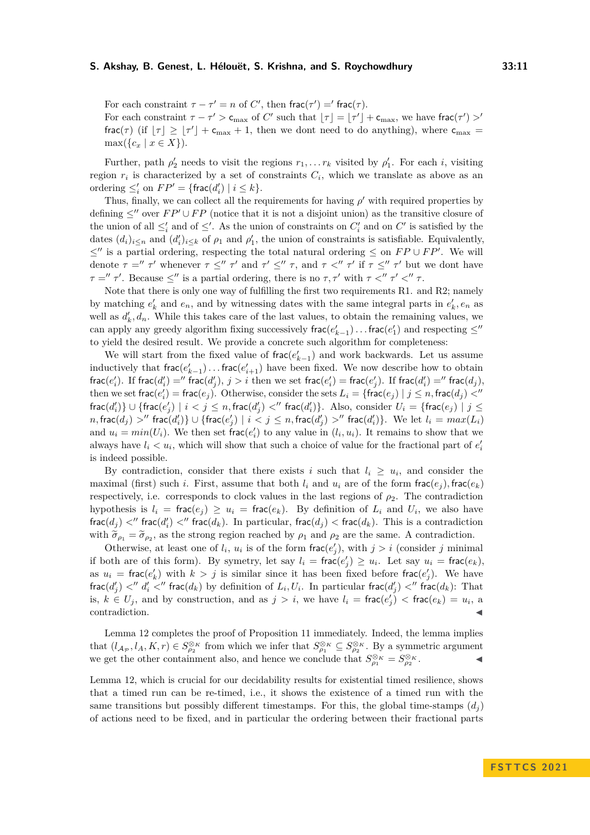For each constraint  $\tau - \tau' = n$  of *C*', then  $\text{frac}(\tau') = \text{frac}(\tau)$ . For each constraint  $\tau - \tau' > c_{\text{max}}$  of *C'* such that  $\lfloor \tau \rfloor = \lfloor \tau' \rfloor + c_{\text{max}}$ , we have frac $(\tau') >'$  $\text{frac}(\tau)$  (if  $\lfloor \tau \rfloor \geq \lfloor \tau' \rfloor + c_{\text{max}} + 1$ , then we dont need to do anything), where  $c_{\text{max}} =$  $max({c_x | x \in X})$ .

Further, path  $\rho'_2$  needs to visit the regions  $r_1, \ldots r_k$  visited by  $\rho'_1$ . For each *i*, visiting region  $r_i$  is characterized by a set of constraints  $C_i$ , which we translate as above as an ordering  $\leq'_i$  on  $FP' = \{\text{frac}(d'_i) \mid i \leq k\}.$ 

Thus, finally, we can collect all the requirements for having  $\rho'$  with required properties by defining  $\leq''$  over  $FP' \cup FP$  (notice that it is not a disjoint union) as the transitive closure of the union of all  $\leq'$  and of  $\leq'$ . As the union of constraints on  $C'$  and on  $C'$  is satisfied by the dates  $(d_i)_{i \leq n}$  and  $(d'_i)_{i \leq k}$  of  $\rho_1$  and  $\rho'_1$ , the union of constraints is satisfiable. Equivalently,  $≤''$  is a partial ordering, respecting the total natural ordering  $≤$  on  $FP ∪ FP'$ . We will denote  $\tau =''$   $\tau'$  whenever  $\tau \leq''$   $\tau'$  and  $\tau' \leq''$   $\tau$ , and  $\tau <''$   $\tau'$  if  $\tau \leq''$   $\tau'$  but we dont have  $\tau =''$  *τ'*. Because  $\leq''$  is a partial ordering, there is no  $\tau, \tau'$  with  $\tau <''$   $\tau' <''$   $\tau$ .

Note that there is only one way of fulfilling the first two requirements R1. and R2; namely by matching  $e'_{k}$  and  $e_{n}$ , and by witnessing dates with the same integral parts in  $e'_{k}$ ,  $e_{n}$  as well as  $d'_{k}$ ,  $d_{n}$ . While this takes care of the last values, to obtain the remaining values, we can apply any greedy algorithm fixing successively  $\textsf{frac}(e'_{k-1}) \dots \textsf{frac}(e'_1)$  and respecting  $\leq''$ to yield the desired result. We provide a concrete such algorithm for completeness:

We will start from the fixed value of  $\text{frac}(e'_{k-1})$  and work backwards. Let us assume inductively that  $\textsf{frac}(e'_{k-1}) \dots \textsf{frac}(e'_{i+1})$  have been fixed. We now describe how to obtain  $\mathsf{frac}(e'_i)$ . If  $\mathsf{frac}(d'_i) =''$   $\mathsf{frac}(d'_j),\ j>i\ \text{then we set }\mathsf{frac}(e'_i) = \mathsf{frac}(e'_j).$  If  $\mathsf{frac}(d'_i) =''$   $\mathsf{frac}(d_j),$ then we set  $\textsf{frac}(e_i') = \textsf{frac}(e_j)$ . Otherwise, consider the sets  $L_i = \{\textsf{frac}(e_j) \mid j \leq n, \textsf{frac}(d_j) <^{\prime\prime}\}$  $\textsf{frac}(d'_i) \} \cup \{ \textsf{frac}(e'_j) \mid i < j \leq n, \textsf{frac}(d'_j) <'' \textsf{frac}(d'_i) \}.$  Also, consider  $U_i = \{ \textsf{frac}(e_j) \mid j \leq j \leq n, \textsf{frac}(d'_i) \}.$  $n, \mathsf{frac}(d_j) >'' \mathsf{frac}(d'_i) \} \cup \{ \mathsf{frac}(e'_j) \mid i < j \leq n, \mathsf{frac}(d'_j) >'' \mathsf{frac}(d'_i) \}.$  We let  $l_i = max(L_i)$ and  $u_i = min(U_i)$ . We then set frac $(e'_i)$  to any value in  $(l_i, u_i)$ . It remains to show that we always have  $l_i < u_i$ , which will show that such a choice of value for the fractional part of  $e'_i$ is indeed possible.

By contradiction, consider that there exists *i* such that  $l_i \geq u_i$ , and consider the maximal (first) such *i*. First, assume that both  $l_i$  and  $u_i$  are of the form  $\text{frac}(e_i)$ ,  $\text{frac}(e_k)$ respectively, i.e. corresponds to clock values in the last regions of  $\rho_2$ . The contradiction hypothesis is  $l_i = \text{frac}(e_j) \geq u_i = \text{frac}(e_k)$ . By definition of  $L_i$  and  $U_i$ , we also have  $\textsf{frac}(d_j) <'' \textsf{frac}(d'_i) <'' \textsf{frac}(d_k)$ . In particular,  $\textsf{frac}(d_j) < \textsf{frac}(d_k)$ . This is a contradiction with  $\tilde{\sigma}_{\rho_1} = \tilde{\sigma}_{\rho_2}$ , as the strong region reached by  $\rho_1$  and  $\rho_2$  are the same. A contradiction.

Otherwise, at least one of  $l_i$ ,  $u_i$  is of the form  $\text{frac}(e'_j)$ , with  $j > i$  (consider *j* minimal if both are of this form). By symetry, let say  $l_i = \text{frac}(e'_j) \ge u_i$ . Let say  $u_i = \text{frac}(e_k)$ , as  $u_i = \text{frac}(e'_k)$  with  $k > j$  is similar since it has been fixed before frac $(e'_j)$ . We have  $\textsf{frac}(d'_j) <'' d'_i <'' \textsf{frac}(d_k)$  by definition of  $L_i, U_i$ . In particular  $\textsf{frac}(d'_j) <'' \textsf{frac}(d_k)$ : That is,  $k \in U_j$ , and by construction, and as  $j > i$ , we have  $l_i = \text{frac}(e'_j) < \text{frac}(e_k) = u_i$ , a contradiction.

Lemma [12](#page-9-0) completes the proof of Proposition [11](#page-8-0) immediately. Indeed, the lemma implies that  $(l_{\mathcal{A}_{\mathcal{P}}}, l_A, K, r) \in S^{\otimes_K}_{\rho_2}$  from which we infer that  $S^{\otimes_K}_{\rho_1} \subseteq S^{\otimes_K}_{\rho_2}$ . By a symmetric argument we get the other containment also, and hence we conclude that  $S_{\rho_1}^{\otimes K} = S_{\rho_2}^{\otimes K}$ . ◀

Lemma [12,](#page-9-0) which is crucial for our decidability results for existential timed resilience, shows that a timed run can be re-timed, i.e., it shows the existence of a timed run with the same transitions but possibly different timestamps. For this, the global time-stamps  $(d_i)$ of actions need to be fixed, and in particular the ordering between their fractional parts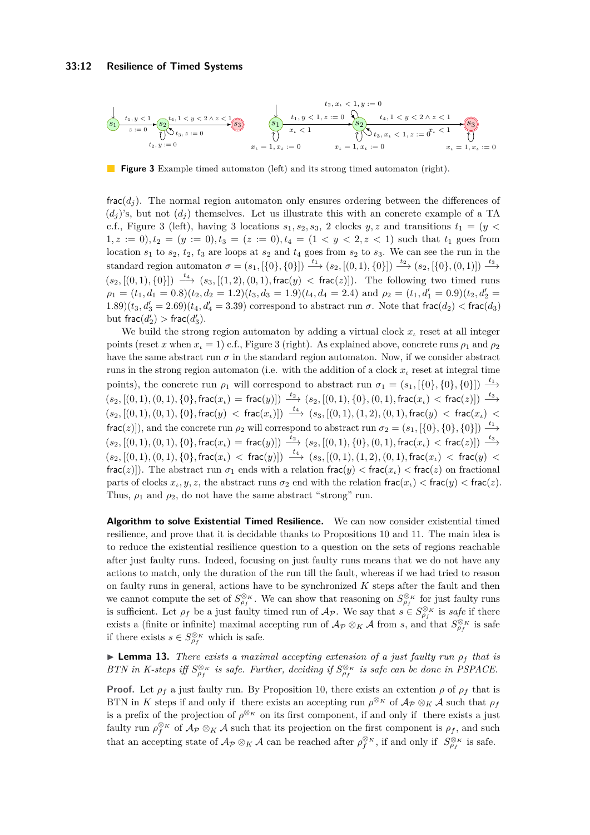#### **33:12 Resilience of Timed Systems**

<span id="page-11-0"></span>

**Figure 3** Example timed automaton (left) and its strong timed automaton (right).

 $\text{frac}(d_i)$ . The normal region automaton only ensures ordering between the differences of  $(d_i)$ 's, but not  $(d_i)$  themselves. Let us illustrate this with an concrete example of a TA c.f., Figure [3](#page-11-0) (left), having 3 locations  $s_1, s_2, s_3$ , 2 clocks  $y, z$  and transitions  $t_1 = (y \leq$  $1, z := 0$ ,  $t_2 = (y := 0)$ ,  $t_3 = (z := 0)$ ,  $t_4 = (1 \lt y \lt 2, z \lt 1)$  such that  $t_1$  goes from location *s*<sup>1</sup> to *s*2, *t*2, *t*<sup>3</sup> are loops at *s*<sup>2</sup> and *t*<sup>4</sup> goes from *s*<sup>2</sup> to *s*3. We can see the run in the  $\text{standard region automaton } \sigma = (s_1, \{0\}, \{0\}) \xrightarrow{t_1} (s_2, \{0, 1\}, \{0\}) \xrightarrow{t_2} (s_2, \{0\}, (0, 1)) \xrightarrow{t_3}$  $(s_2, [(0,1),\{0\}]) \xrightarrow{t_4} (s_3, [(1,2), (0,1), \text{frac}(y) < \text{frac}(z)]$ . The following two timed runs  $\rho_1 = (t_1, d_1 = 0.8)(t_2, d_2 = 1.2)(t_3, d_3 = 1.9)(t_4, d_4 = 2.4)$  and  $\rho_2 = (t_1, d_1' = 0.9)(t_2, d_2' = 1.2)(t_3, d_3' = 1.2)(t_4, d_4' = 2.4)$  $(1.89)(t_3, d'_3 = 2.69)(t_4, d'_4 = 3.39)$  correspond to abstract run  $\sigma$ . Note that  $\text{frac}(d_2) < \text{frac}(d_3)$ but  $\text{frac}(d'_2) > \text{frac}(d'_3)$ .

We build the strong region automaton by adding a virtual clock  $x_i$  reset at all integer points (reset *x* when  $x_i = 1$ ) c.f., Figure [3](#page-11-0) (right). As explained above, concrete runs  $\rho_1$  and  $\rho_2$ have the same abstract run  $\sigma$  in the standard region automaton. Now, if we consider abstract runs in the strong region automaton (i.e. with the addition of a clock  $x_i$  reset at integral time points), the concrete run  $\rho_1$  will correspond to abstract run  $\sigma_1 = (s_1, \{0\}, \{0\}, \{0\}) \xrightarrow{t_1}$  $(s_2, [(0,1), (0,1), \{0\}, \text{frac}(x)) = \text{frac}(y)) \xrightarrow{t_2} (s_2, [(0,1), \{0\}, (0,1), \text{frac}(x)) \xrightarrow{t_3} (s_2, [(0,1), \{0\}, (0,1), \text{frac}(x)))$  $(s_2, [(0,1), (0,1), \{0\}, \text{frac}(y) < \text{frac}(x_1))] \xrightarrow{t_4} (s_3, [(0,1), (1,2), (0,1), \text{frac}(y) < \text{frac}(x_1)$ frac(*z*)]), and the concrete run  $\rho_2$  will correspond to abstract run  $\sigma_2 = (s_1, \{\{0\}, \{0\}, \{0\}\}) \xrightarrow{t_1}$  $(s_2, [(0,1), (0,1), \{0\}, \text{frac}(x_i) = \text{frac}(y)]) \xrightarrow{t_2} (s_2, [(0,1), \{0\}, (0,1), \text{frac}(x_i) < \text{frac}(z)]) \xrightarrow{t_3}$  $(s_2, [(0,1), (0,1), \{0\}, \text{frac}(x)) < \text{frac}(y)) \overset{t_4}{\longrightarrow} (s_3, [(0,1), (1,2), (0,1), \text{frac}(x)) < \text{frac}(y)$ frac(*z*)]). The abstract run  $\sigma_1$  ends with a relation frac(*y*)  $\lt$  frac(*x<sub>i</sub>*)  $\lt$  frac(*z*) on fractional parts of clocks  $x_i, y, z$ , the abstract runs  $\sigma_2$  end with the relation  $\textsf{frac}(x_i) < \textsf{frac}(y) < \textsf{frac}(z)$ . Thus,  $\rho_1$  and  $\rho_2$ , do not have the same abstract "strong" run.

**Algorithm to solve Existential Timed Resilience.** We can now consider existential timed resilience, and prove that it is decidable thanks to Propositions [10](#page-7-0) and [11.](#page-8-0) The main idea is to reduce the existential resilience question to a question on the sets of regions reachable after just faulty runs. Indeed, focusing on just faulty runs means that we do not have any actions to match, only the duration of the run till the fault, whereas if we had tried to reason on faulty runs in general, actions have to be synchronized *K* steps after the fault and then we cannot compute the set of  $S^{\otimes_K}_{\rho_f}$ . We can show that reasoning on  $S^{\otimes_K}_{\rho_f}$  for just faulty runs is sufficient. Let  $\rho_f$  be a just faulty timed run of  $\mathcal{A}_{\mathcal{P}}$ . We say that  $s \in S^{\otimes_K}_{\rho_f}$  is *safe* if there exists a (finite or infinite) maximal accepting run of  $\mathcal{A}_{\mathcal{P}} \otimes_K \mathcal{A}$  from *s*, and that  $S^{\otimes_K}_{\rho_f}$  is safe if there exists  $s \in S_{\rho_f}^{\otimes_K}$  which is safe.

<span id="page-11-1"></span>▶ **Lemma 13.** *There exists a maximal accepting extension of a just faulty run ρ<sup>f</sup> that is BTN* in *K*-steps iff  $S^{\otimes_K}_{\rho_f}$  is safe. Further, deciding if  $S^{\otimes_K}_{\rho_f}$  is safe can be done in PSPACE.

**Proof.** Let  $\rho_f$  a just faulty run. By Proposition [10,](#page-7-0) there exists an extention  $\rho$  of  $\rho_f$  that is BTN in *K* steps if and only if there exists an accepting run  $\rho^{\otimes K}$  of  $\mathcal{A}_{\mathcal{P}} \otimes_K \mathcal{A}$  such that  $\rho_f$ is a prefix of the projection of  $\rho^{\otimes_K}$  on its first component, if and only if there exists a just faulty run  $\rho_f^{\otimes K}$  of  $\mathcal{A}_{\mathcal{P}} \otimes_K \mathcal{A}$  such that its projection on the first component is  $\rho_f$ , and such that an accepting state of  $\mathcal{A}_{\mathcal{P}} \otimes_K \mathcal{A}$  can be reached after  $\rho_f^{\otimes_K}$ , if and only if  $S_{\rho_f}^{\otimes_K}$  is safe.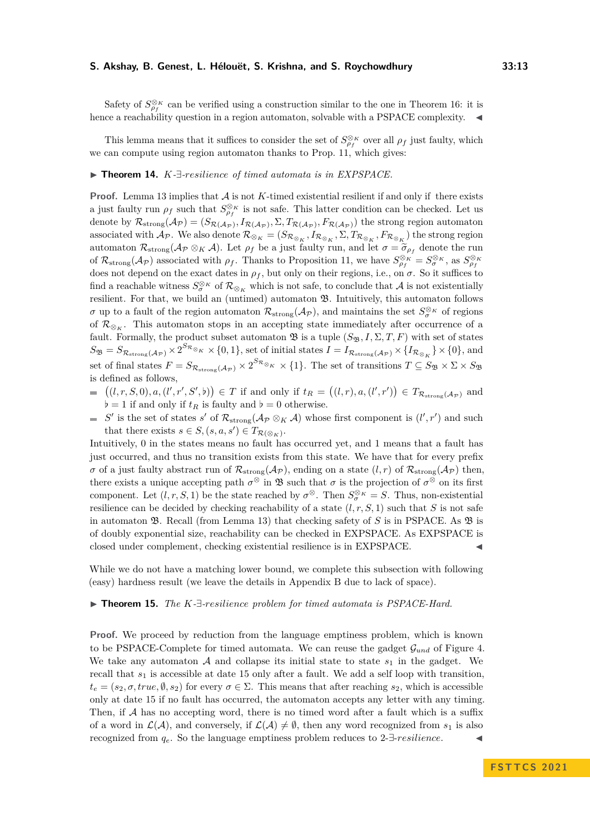Safety of  $S_{\rho_f}^{\otimes_K}$  can be verified using a construction similar to the one in Theorem [16:](#page-13-1) it is hence a reachability question in a region automaton, solvable with a PSPACE complexity. ◀

This lemma means that it suffices to consider the set of  $S^{\otimes_K}_{\rho_f}$  over all  $\rho_f$  just faulty, which we can compute using region automaton thanks to Prop. [11,](#page-8-0) which gives:

#### <span id="page-12-0"></span>▶ **Theorem 14.** *K-*∃*-resilience of timed automata is in EXPSPACE.*

**Proof.** Lemma [13](#page-11-1) implies that A is not *K*-timed existential resilient if and only if there exists a just faulty run  $\rho_f$  such that  $S^{\otimes_K}_{\rho_f}$  is not safe. This latter condition can be checked. Let us denote by  $\mathcal{R}_{\text{strong}}(\mathcal{A}_{\mathcal{P}}) = (S_{\mathcal{R}(\mathcal{A}_{\mathcal{P}})}, I_{\mathcal{R}(\mathcal{A}_{\mathcal{P}})}, \Sigma, T_{\mathcal{R}(\mathcal{A}_{\mathcal{P}})}, F_{\mathcal{R}(\mathcal{A}_{\mathcal{P}})})$  the strong region automaton  $\text{associated with } \mathcal{A}_{\mathcal{P}}.$  We also denote  $\mathcal{R}_{\otimes_K} = (S_{\mathcal{R}_{\otimes_K}}, I_{\mathcal{R}_{\otimes_K}}, \Sigma, T_{\mathcal{R}_{\otimes_K}}, F_{\mathcal{R}_{\otimes_K}})$  the strong region automaton  $\mathcal{R}_{\text{strong}}(\mathcal{A}_{\mathcal{P}} \otimes_K \mathcal{A})$ . Let  $\rho_f$  be a just faulty run, and let  $\sigma = \tilde{\sigma}_{\rho_f}$  denote the run of  $\mathcal{R}_{\text{strong}}(\mathcal{A}_{\mathcal{P}})$  associated with  $\rho_f$ . Thanks to Proposition [11,](#page-8-0) we have  $S^{\otimes_K}_{\rho_f} = S^{\otimes_K}_{\sigma}$ , as  $S^{\otimes_K}_{\rho_f}$ does not depend on the exact dates in  $\rho_f$ , but only on their regions, i.e., on  $\sigma$ . So it suffices to find a reachable witness  $S_{\sigma}^{\otimes_K}$  of  $\mathcal{R}_{\otimes_K}$  which is not safe, to conclude that  $\mathcal A$  is not existentially resilient. For that, we build an (untimed) automaton B. Intuitively, this automaton follows *σ* up to a fault of the region automaton  $\mathcal{R}_{\text{strong}}(\mathcal{A}_{\mathcal{P}})$ , and maintains the set  $S_{\sigma}^{\otimes_K}$  of regions of  $\mathcal{R}_{\otimes_K}$ . This automaton stops in an accepting state immediately after occurrence of a fault. Formally, the product subset automaton  $\mathfrak{B}$  is a tuple  $(S_{\mathfrak{B}}, I, \Sigma, T, F)$  with set of states  $S_{\mathfrak{B}} = S_{\mathcal{R}_{\text{strong}}(\mathcal{A}_{\mathcal{P}})} \times 2^{S_{\mathcal{R}_{\otimes_K}}} \times \{0,1\}$ , set of initial states  $I = I_{\mathcal{R}_{\text{strong}}(\mathcal{A}_{\mathcal{P}})} \times \{I_{\mathcal{R}_{\otimes_K}}\} \times \{0\}$ , and set of final states  $F = S_{\mathcal{R}_{\text{strong}}(\mathcal{A}_{\mathcal{P}})} \times 2^{S_{\mathcal{R}_{\otimes_K}}} \times \{1\}$ . The set of transitions  $T \subseteq S_{\mathfrak{B}} \times \Sigma \times S_{\mathfrak{B}}$ is defined as follows,

- $((l, r, S, 0), a, (l', r', S', \mathfrak{b})) \in T$  if and only if  $t_R = ((l, r), a, (l', r')) \in T_{\mathcal{R}_{\text{strong}}(\mathcal{A}_{\mathcal{P}})}$  and  $\flat = 1$  if and only if  $t_R$  is faulty and  $\flat = 0$  otherwise.
- *S*<sup> $\prime$ </sup> is the set of states *s*<sup> $\prime$ </sup> of  $\mathcal{R}_{\text{strong}}(\mathcal{A}_{\mathcal{P}} \otimes_K \mathcal{A})$  whose first component is  $(l', r')$  and such that there exists  $s \in S$ ,  $(s, a, s') \in T_{\mathcal{R}(\otimes_K)}$ .

Intuitively, 0 in the states means no fault has occurred yet, and 1 means that a fault has just occurred, and thus no transition exists from this state. We have that for every prefix *σ* of a just faulty abstract run of  $\mathcal{R}_{\text{strong}}(\mathcal{A}_{\mathcal{P}})$ , ending on a state  $(l, r)$  of  $\mathcal{R}_{\text{strong}}(\mathcal{A}_{\mathcal{P}})$  then, there exists a unique accepting path  $\sigma^{\otimes}$  in  $\mathfrak{B}$  such that  $\sigma$  is the projection of  $\sigma^{\otimes}$  on its first component. Let  $(l, r, S, 1)$  be the state reached by  $\sigma^{\otimes}$ . Then  $S^{\otimes \kappa}_{\sigma} = S$ . Thus, non-existential resilience can be decided by checking reachability of a state  $(l, r, S, 1)$  such that *S* is not safe in automaton B. Recall (from Lemma [13\)](#page-11-1) that checking safety of *S* is in PSPACE. As B is of doubly exponential size, reachability can be checked in EXPSPACE. As EXPSPACE is closed under complement, checking existential resilience is in EXPSPACE.

While we do not have a matching lower bound, we complete this subsection with following (easy) hardness result (we leave the details in Appendix [B](#page-18-0) due to lack of space).

<span id="page-12-1"></span>▶ **Theorem 15.** *The K-*∃*-resilience problem for timed automata is PSPACE-Hard.*

**Proof.** We proceed by reduction from the language emptiness problem, which is known to be PSPACE-Complete for timed automata. We can reuse the gadget  $\mathcal{G}_{und}$  of Figure [4.](#page-13-3) We take any automaton  $A$  and collapse its initial state to state  $s<sub>1</sub>$  in the gadget. We recall that *s*<sup>1</sup> is accessible at date 15 only after a fault. We add a self loop with transition,  $t_e = (s_2, \sigma, true, \emptyset, s_2)$  for every  $\sigma \in \Sigma$ . This means that after reaching  $s_2$ , which is accessible only at date 15 if no fault has occurred, the automaton accepts any letter with any timing. Then, if A has no accepting word, there is no timed word after a fault which is a suffix of a word in  $\mathcal{L}(\mathcal{A})$ , and conversely, if  $\mathcal{L}(\mathcal{A}) \neq \emptyset$ , then any word recognized from  $s_1$  is also recognized from  $q_e$ . So the language emptiness problem reduces to 2- $\exists$ -*resilience*.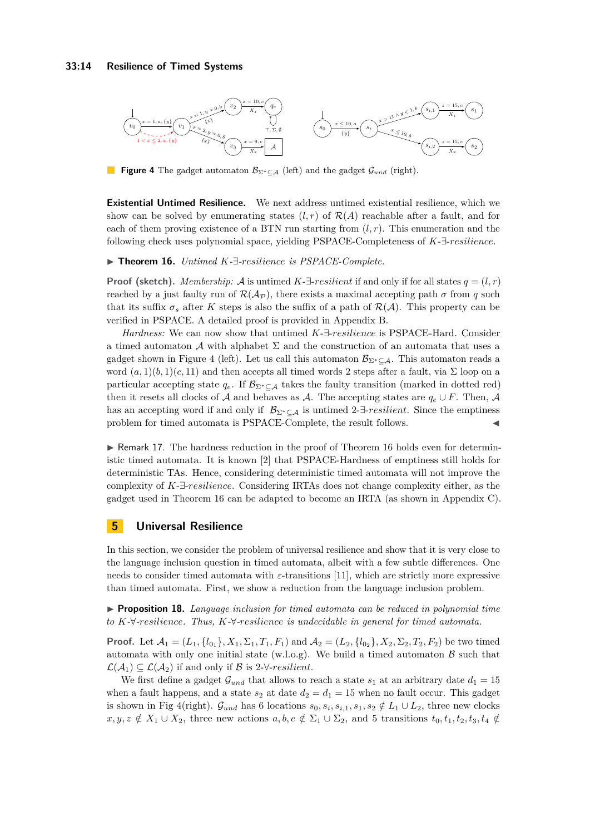#### **33:14 Resilience of Timed Systems**

<span id="page-13-3"></span>

**Figure 4** The gadget automaton BΣ∗⊆A (left) and the gadget G*und* (right).

**Existential Untimed Resilience.** We next address untimed existential resilience, which we show can be solved by enumerating states  $(l, r)$  of  $\mathcal{R}(A)$  reachable after a fault, and for each of them proving existence of a BTN run starting from (*l, r*). This enumeration and the following check uses polynomial space, yielding PSPACE-Completeness of *K*-∃-*resilience*.

<span id="page-13-1"></span>▶ **Theorem 16.** *Untimed K-*∃*-resilience is PSPACE-Complete.*

**Proof (sketch).** *Membership:*  $\mathcal A$  is untimed  $K$ - $\exists$ -*resilient* if and only if for all states  $q = (l, r)$ reached by a just faulty run of  $\mathcal{R}(\mathcal{A}_{\mathcal{P}})$ , there exists a maximal accepting path  $\sigma$  from *q* such that its suffix  $\sigma_s$  after *K* steps is also the suffix of a path of  $\mathcal{R}(\mathcal{A})$ . This property can be verified in PSPACE. A detailed proof is provided in Appendix [B.](#page-18-0)

*Hardness:* We can now show that untimed *K*-∃-*resilience* is PSPACE-Hard. Consider a timed automaton  $\mathcal A$  with alphabet  $\Sigma$  and the construction of an automata that uses a gadget shown in Figure [4](#page-13-3) (left). Let us call this automaton  $\mathcal{B}_{\Sigma^* \subset \mathcal{A}}$ . This automaton reads a word  $(a, 1)(b, 1)(c, 11)$  and then accepts all timed words 2 steps after a fault, via  $\Sigma$  loop on a particular accepting state  $q_e$ . If  $\mathcal{B}_{\Sigma^*\subset\mathcal{A}}$  takes the faulty transition (marked in dotted red) then it resets all clocks of A and behaves as A. The accepting states are  $q_e \cup F$ . Then, A has an accepting word if and only if  $\mathcal{B}_{\Sigma^*\subset\mathcal{A}}$  is untimed 2-∃-*resilient*. Since the emptiness problem for timed automata is PSPACE-Complete, the result follows.

<span id="page-13-2"></span>▶ Remark 17. The hardness reduction in the proof of Theorem [16](#page-13-1) holds even for deterministic timed automata. It is known [\[2\]](#page-16-0) that PSPACE-Hardness of emptiness still holds for deterministic TAs. Hence, considering deterministic timed automata will not improve the complexity of *K*-∃-*resilience*. Considering IRTAs does not change complexity either, as the gadget used in Theorem [16](#page-13-1) can be adapted to become an IRTA (as shown in Appendix [C\)](#page-19-0).

## **5 Universal Resilience**

In this section, we consider the problem of universal resilience and show that it is very close to the language inclusion question in timed automata, albeit with a few subtle differences. One needs to consider timed automata with  $\varepsilon$ -transitions [\[11\]](#page-16-15), which are strictly more expressive than timed automata. First, we show a reduction from the language inclusion problem.

<span id="page-13-0"></span>▶ **Proposition 18.** *Language inclusion for timed automata can be reduced in polynomial time to K-*∀*-resilience. Thus, K-*∀*-resilience is undecidable in general for timed automata.*

**Proof.** Let  $\mathcal{A}_1 = (L_1, \{l_{0_1}\}, X_1, \Sigma_1, T_1, F_1)$  and  $\mathcal{A}_2 = (L_2, \{l_{0_2}\}, X_2, \Sigma_2, T_2, F_2)$  be two timed automata with only one initial state (w.l.o.g). We build a timed automaton  $\beta$  such that  $\mathcal{L}(\mathcal{A}_1) \subseteq \mathcal{L}(\mathcal{A}_2)$  if and only if  $\mathcal{B}$  is 2- $\forall$ -resilient.

We first define a gadget  $\mathcal{G}_{und}$  that allows to reach a state  $s_1$  at an arbitrary date  $d_1 = 15$ when a fault happens, and a state  $s_2$  at date  $d_2 = d_1 = 15$  when no fault occur. This gadget is shown in Fig [4\(](#page-13-3)right).  $\mathcal{G}_{und}$  has 6 locations  $s_0, s_i, s_{i,1}, s_1, s_2 \notin L_1 \cup L_2$ , three new clocks *x, y, z* ∉ *X*<sub>1</sub> ∪ *X*<sub>2</sub>, three new actions *a, b, c* ∉  $\Sigma$ <sub>1</sub> ∪  $\Sigma$ <sub>2</sub>, and 5 transitions *t*<sub>0</sub>*, t*<sub>1</sub>*, t*<sub>2</sub>*, t*<sub>3</sub>*, t*<sub>4</sub> ∉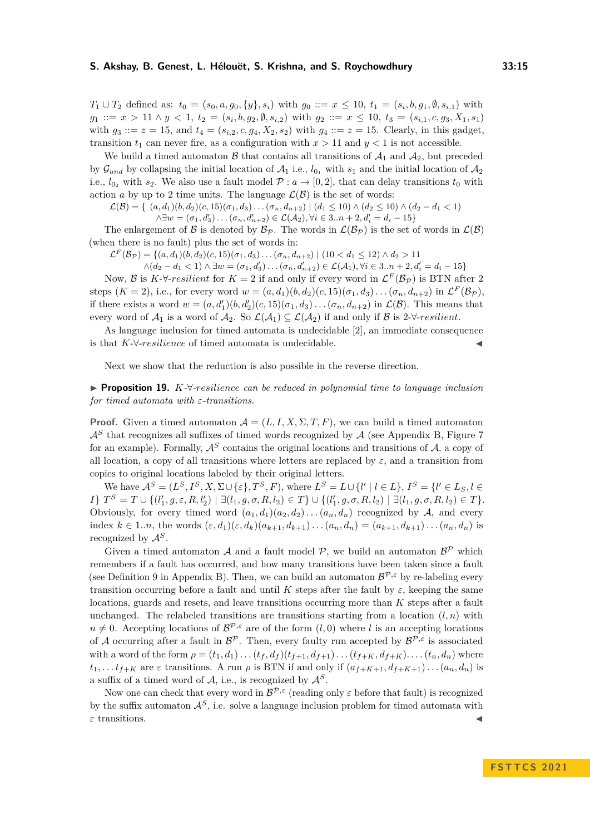*T*<sub>1</sub> ∪ *T*<sub>2</sub> defined as:  $t_0 = (s_0, a, g_0, \{y\}, s_i)$  with  $g_0 ::= x ≤ 10, t_1 = (s_i, b, g_1, \emptyset, s_{i,1})$  with  $g_1 ::= x > 11 \land y < 1, t_2 = (s_i, b, g_2, \emptyset, s_{i,2})$  with  $g_2 ::= x \le 10, t_3 = (s_{i,1}, c, g_3, X_1, s_1)$ with  $g_3 ::= z = 15$ , and  $t_4 = (s_{i,2}, c, g_4, X_2, s_2)$  with  $g_4 ::= z = 15$ . Clearly, in this gadget, transition  $t_1$  can never fire, as a configuration with  $x > 11$  and  $y < 1$  is not accessible.

We build a timed automaton B that contains all transitions of  $A_1$  and  $A_2$ , but preceded by  $\mathcal{G}_{und}$  by collapsing the initial location of  $\mathcal{A}_1$  i.e.,  $l_{0_1}$  with  $s_1$  and the initial location of  $\mathcal{A}_2$ i.e.,  $l_{0_2}$  with  $s_2$ . We also use a fault model  $P: a \rightarrow [0,2]$ , that can delay transitions  $t_0$  with action *a* by up to 2 time units. The language  $\mathcal{L}(\mathcal{B})$  is the set of words:

 $\mathcal{L}(\mathcal{B}) = \{ (a, d_1)(b, d_2)(c, 15)(\sigma_1, d_3) \dots (\sigma_n, d_{n+2}) \mid (d_1 \leq 10) \wedge (d_2 \leq 10) \wedge (d_2 - d_1 < 1) \}$  $\wedge \exists w = (\sigma_1, d'_3) \dots (\sigma_n, d'_{n+2}) \in \mathcal{L}(\mathcal{A}_2), \forall i \in 3..n+2, d'_i = d_i - 15\}$ 

The enlargement of B is denoted by  $\mathcal{B}_{\mathcal{P}}$ . The words in  $\mathcal{L}(\mathcal{B}_{\mathcal{P}})$  is the set of words in  $\mathcal{L}(\mathcal{B})$ (when there is no fault) plus the set of words in:

 $\mathcal{L}^F(\mathcal{B}_{\mathcal{P}}) = \{(a,d_1)(b,d_2)(c,15)(\sigma_1,d_3)\dots(\sigma_n,d_{n+2}) \mid (10 < d_1 \leq 12) \wedge d_2 > 11$ 

 $\wedge$   $(d_2 - d_1 < 1) \wedge \exists w = (\sigma_1, d'_3) \dots (\sigma_n, d'_{n+2}) \in \mathcal{L}(\mathcal{A}_1), \forall i \in \mathcal{S} \dots n+2, d'_i = d_i - 15\}$ 

Now,  $\mathcal{B}$  is *K*- $\forall$ -resilient for  $K = 2$  if and only if every word in  $\mathcal{L}^F(\mathcal{B}_{\mathcal{P}})$  is BTN after 2 steps  $(K = 2)$ , i.e., for every word  $w = (a, d_1)(b, d_2)(c, 15)(\sigma_1, d_3) \dots (\sigma_n, d_{n+2})$  in  $\mathcal{L}^F(\mathcal{B}_{\mathcal{P}})$ , if there exists a word  $w = (a, d'_1)(b, d'_2)(c, 15)(\sigma_1, d_3) \dots (\sigma_n, d_{n+2})$  in  $\mathcal{L}(\mathcal{B})$ . This means that every word of  $\mathcal{A}_1$  is a word of  $\mathcal{A}_2$ . So  $\mathcal{L}(\mathcal{A}_1) \subseteq \mathcal{L}(\mathcal{A}_2)$  if and only if  $\mathcal{B}$  is 2- $\forall$ -resilient.

As language inclusion for timed automata is undecidable [\[2\]](#page-16-0), an immediate consequence is that  $K$ - $\forall$ - $resilience$  of timed automata is undecidable.

Next we show that the reduction is also possible in the reverse direction.

<span id="page-14-0"></span>▶ **Proposition 19.** *K-*∀*-resilience can be reduced in polynomial time to language inclusion for timed automata with ε-transitions.*

**Proof.** Given a timed automaton  $\mathcal{A} = (L, I, X, \Sigma, T, F)$ , we can build a timed automaton  $\mathcal{A}^S$  that recognizes all suffixes of timed words recognized by  $\mathcal A$  (see Appendix [B,](#page-18-0) Figure [7](#page-19-1)) for an example). Formally,  $A<sup>S</sup>$  contains the original locations and transitions of  $A$ , a copy of all location, a copy of all transitions where letters are replaced by  $\varepsilon$ , and a transition from copies to original locations labeled by their original letters.

We have  $\mathcal{A}^S = (L^S, I^S, X, \Sigma \cup \{\varepsilon\}, T^S, F)$ , where  $L^S = L \cup \{l' \mid l \in L\}, I^S = \{l' \in L_S, l \in L\}$  $I\}$   $T^S = T \cup \{(l'_1, g, \varepsilon, R, l'_2) \mid \exists (l_1, g, \sigma, R, l_2) \in T\} \cup \{(l'_1, g, \sigma, R, l_2) \mid \exists (l_1, g, \sigma, R, l_2) \in T\}.$ Obviously, for every timed word  $(a_1, d_1)(a_2, d_2) \ldots (a_n, d_n)$  recognized by A, and every index  $k \in 1..n$ , the words  $(\varepsilon, d_1)(\varepsilon, d_k)(a_{k+1}, d_{k+1})... (a_n, d_n) = (a_{k+1}, d_{k+1})... (a_n, d_n)$  is recognized by  $A^S$ .

Given a timed automaton A and a fault model  $P$ , we build an automaton  $\mathcal{B}^P$  which remembers if a fault has occurred, and how many transitions have been taken since a fault (see Definition [9](#page-7-1) in Appendix [B\)](#page-18-0). Then, we can build an automaton  $\mathcal{B}^{\mathcal{P},\varepsilon}$  by re-labeling every transition occurring before a fault and until *K* steps after the fault by  $\varepsilon$ , keeping the same locations, guards and resets, and leave transitions occurring more than *K* steps after a fault unchanged. The relabeled transitions are transitions starting from a location  $(l, n)$  with  $n \neq 0$ . Accepting locations of  $\mathcal{B}^{\mathcal{P},\varepsilon}$  are of the form  $(l,0)$  where *l* is an accepting locations of A occurring after a fault in  $\mathcal{B}^{\mathcal{P}}$ . Then, every faulty run accepted by  $\mathcal{B}^{\mathcal{P},\varepsilon}$  is associated with a word of the form  $\rho = (t_1, d_1) \dots (t_f, d_f) (t_{f+1}, d_{f+1}) \dots (t_{f+K}, d_{f+K}) \dots (t_n, d_n)$  where  $t_1, \ldots, t_{f+K}$  are  $\varepsilon$  transitions. A run  $\rho$  is BTN if and only if  $(a_{f+K+1}, d_{f+K+1}) \ldots (a_n, d_n)$  is a suffix of a timed word of  $A$ , i.e., is recognized by  $A<sup>S</sup>$ .

Now one can check that every word in  $\mathcal{B}^{\mathcal{P},\varepsilon}$  (reading only  $\varepsilon$  before that fault) is recognized by the suffix automaton  $\mathcal{A}^S$ , i.e. solve a language inclusion problem for timed automata with  $\varepsilon$  transitions.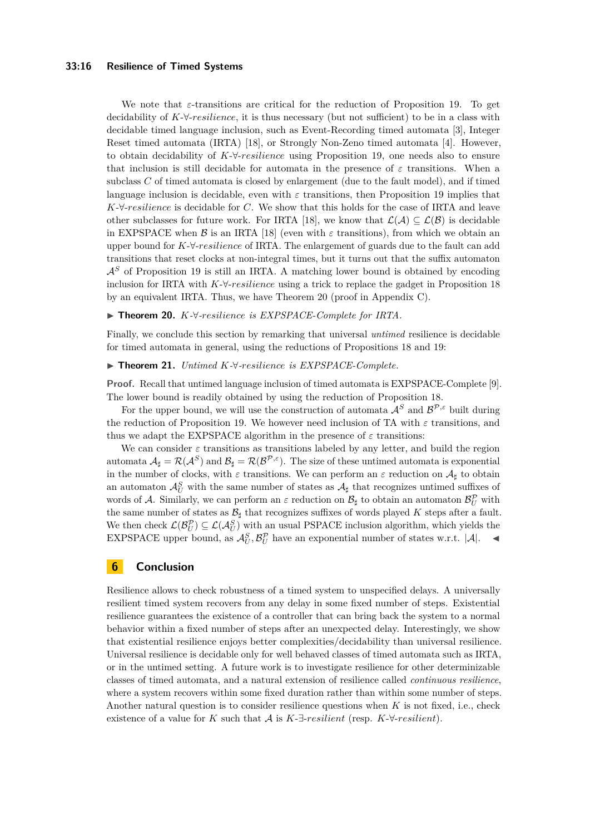#### **33:16 Resilience of Timed Systems**

We note that *ε*-transitions are critical for the reduction of Proposition [19.](#page-14-0) To get decidability of *K*-∀-*resilience*, it is thus necessary (but not sufficient) to be in a class with decidable timed language inclusion, such as Event-Recording timed automata [\[3\]](#page-16-16), Integer Reset timed automata (IRTA) [\[18\]](#page-16-9), or Strongly Non-Zeno timed automata [\[4\]](#page-16-17). However, to obtain decidability of *K*-∀-*resilience* using Proposition [19,](#page-14-0) one needs also to ensure that inclusion is still decidable for automata in the presence of *ε* transitions. When a subclass *C* of timed automata is closed by enlargement (due to the fault model), and if timed language inclusion is decidable, even with  $\varepsilon$  transitions, then Proposition [19](#page-14-0) implies that *K*-∀-*resilience* is decidable for *C*. We show that this holds for the case of IRTA and leave other subclasses for future work. For IRTA [\[18\]](#page-16-9), we know that  $\mathcal{L}(\mathcal{A}) \subseteq \mathcal{L}(\mathcal{B})$  is decidable in EXPSPACE when B is an IRTA [\[18\]](#page-16-9) (even with  $\varepsilon$  transitions), from which we obtain an upper bound for *K*-∀-*resilience* of IRTA. The enlargement of guards due to the fault can add transitions that reset clocks at non-integral times, but it turns out that the suffix automaton  $A<sup>S</sup>$  of Proposition [19](#page-14-0) is still an IRTA. A matching lower bound is obtained by encoding inclusion for IRTA with *K*-∀-*resilience* using a trick to replace the gadget in Proposition [18](#page-13-0) by an equivalent IRTA. Thus, we have Theorem [20](#page-15-0) (proof in Appendix [C\)](#page-19-0).

<span id="page-15-0"></span>▶ **Theorem 20.** *K-*∀*-resilience is EXPSPACE-Complete for IRTA.*

Finally, we conclude this section by remarking that universal *untimed* resilience is decidable for timed automata in general, using the reductions of Propositions [18](#page-13-0) and [19:](#page-14-0)

#### <span id="page-15-1"></span>▶ **Theorem 21.** *Untimed K-*∀*-resilience is EXPSPACE-Complete.*

**Proof.** Recall that untimed language inclusion of timed automata is EXPSPACE-Complete [\[9\]](#page-16-18). The lower bound is readily obtained by using the reduction of Proposition [18.](#page-13-0)

For the upper bound, we will use the construction of automata  $\mathcal{A}^S$  and  $\mathcal{B}^{\mathcal{P},\varepsilon}$  built during the reduction of Proposition [19.](#page-14-0) We however need inclusion of TA with  $\varepsilon$  transitions, and thus we adapt the EXPSPACE algorithm in the presence of  $\varepsilon$  transitions:

We can consider  $\varepsilon$  transitions as transitions labeled by any letter, and build the region automata  $A_\sharp = \mathcal{R}(\mathcal{A}^S)$  and  $\mathcal{B}_\sharp = \mathcal{R}(\mathcal{B}^{\mathcal{P},\varepsilon})$ . The size of these untimed automata is exponential in the number of clocks, with  $\varepsilon$  transitions. We can perform an  $\varepsilon$  reduction on  $\mathcal{A}_{\sharp}$  to obtain an automaton  $\mathcal{A}_{U}^{S}$  with the same number of states as  $\mathcal{A}_{\sharp}$  that recognizes untimed suffixes of words of A. Similarly, we can perform an  $\varepsilon$  reduction on  $\mathcal{B}_{\sharp}$  to obtain an automaton  $\mathcal{B}_{U}^{\mathcal{P}}$  with the same number of states as  $\mathcal{B}_{\sharp}$  that recognizes suffixes of words played *K* steps after a fault. We then check  $\mathcal{L}(\mathcal{B}_U^{\mathcal{P}}) \subseteq \mathcal{L}(\mathcal{A}_U^S)$  with an usual PSPACE inclusion algorithm, which yields the EXPSPACE upper bound, as  $\mathcal{A}_{U}^{S}, \mathcal{B}_{U}^{P}$  have an exponential number of states w.r.t.  $|\mathcal{A}|$ .

## **6 Conclusion**

Resilience allows to check robustness of a timed system to unspecified delays. A universally resilient timed system recovers from any delay in some fixed number of steps. Existential resilience guarantees the existence of a controller that can bring back the system to a normal behavior within a fixed number of steps after an unexpected delay. Interestingly, we show that existential resilience enjoys better complexities/decidability than universal resilience. Universal resilience is decidable only for well behaved classes of timed automata such as IRTA, or in the untimed setting. A future work is to investigate resilience for other determinizable classes of timed automata, and a natural extension of resilience called *continuous resilience*, where a system recovers within some fixed duration rather than within some number of steps. Another natural question is to consider resilience questions when *K* is not fixed, i.e., check existence of a value for *K* such that A is *K*-∃-*resilient* (resp. *K*-∀-*resilient*).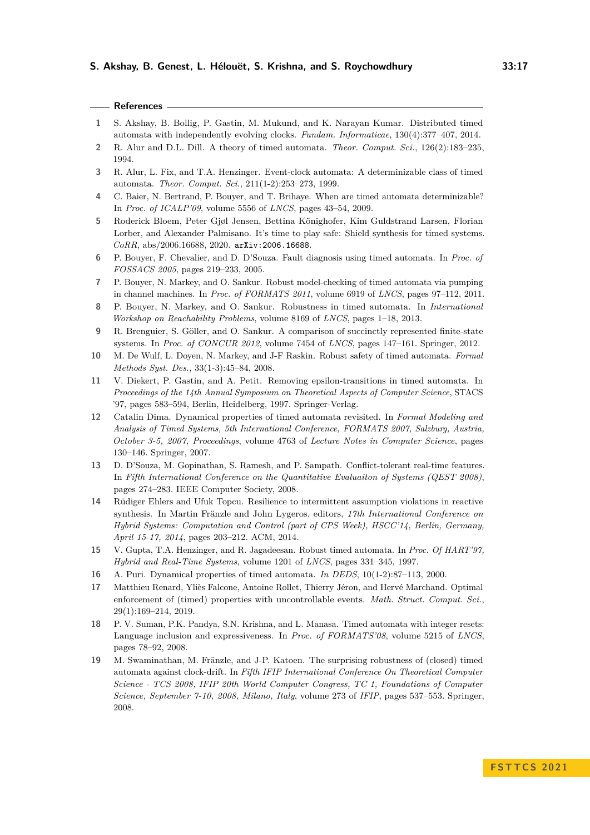|  | <b>References</b> |  |
|--|-------------------|--|
|--|-------------------|--|

- <span id="page-16-8"></span>**1** S. Akshay, B. Bollig, P. Gastin, M. Mukund, and K. Narayan Kumar. Distributed timed automata with independently evolving clocks. *Fundam. Informaticae*, 130(4):377–407, 2014.
- <span id="page-16-0"></span>**2** R. Alur and D.L. Dill. A theory of timed automata. *Theor. Comput. Sci.*, 126(2):183–235, 1994.
- <span id="page-16-16"></span>**3** R. Alur, L. Fix, and T.A. Henzinger. Event-clock automata: A determinizable class of timed automata. *Theor. Comput. Sci.*, 211(1-2):253–273, 1999.
- <span id="page-16-17"></span>**4** C. Baier, N. Bertrand, P. Bouyer, and T. Brihaye. When are timed automata determinizable? In *Proc. of ICALP'09*, volume 5556 of *LNCS*, pages 43–54, 2009.
- <span id="page-16-13"></span>**5** Roderick Bloem, Peter Gjøl Jensen, Bettina Könighofer, Kim Guldstrand Larsen, Florian Lorber, and Alexander Palmisano. It's time to play safe: Shield synthesis for timed systems. *CoRR*, abs/2006.16688, 2020. [arXiv:2006.16688](http://arxiv.org/abs/2006.16688).
- <span id="page-16-14"></span>**6** P. Bouyer, F. Chevalier, and D. D'Souza. Fault diagnosis using timed automata. In *Proc. of FOSSACS 2005*, pages 219–233, 2005.
- <span id="page-16-3"></span>**7** P. Bouyer, N. Markey, and O. Sankur. Robust model-checking of timed automata via pumping in channel machines. In *Proc. of FORMATS 2011*, volume 6919 of *LNCS*, pages 97–112, 2011.
- <span id="page-16-2"></span>**8** P. Bouyer, N. Markey, and O. Sankur. Robustness in timed automata. In *International Workshop on Reachability Problems*, volume 8169 of *LNCS*, pages 1–18, 2013.
- <span id="page-16-18"></span>**9** R. Brenguier, S. Göller, and O. Sankur. A comparison of succinctly represented finite-state systems. In *Proc. of CONCUR 2012*, volume 7454 of *LNCS*, pages 147–161. Springer, 2012.
- <span id="page-16-1"></span>**10** M. De Wulf, L. Doyen, N. Markey, and J-F Raskin. Robust safety of timed automata. *Formal Methods Syst. Des.*, 33(1-3):45–84, 2008.
- <span id="page-16-15"></span>**11** V. Diekert, P. Gastin, and A. Petit. Removing epsilon-transitions in timed automata. In *Proceedings of the 14th Annual Symposium on Theoretical Aspects of Computer Science*, STACS '97, pages 583–594, Berlin, Heidelberg, 1997. Springer-Verlag.
- <span id="page-16-6"></span>**12** Catalin Dima. Dynamical properties of timed automata revisited. In *Formal Modeling and Analysis of Timed Systems, 5th International Conference, FORMATS 2007, Salzburg, Austria, October 3-5, 2007, Proceedings*, volume 4763 of *Lecture Notes in Computer Science*, pages 130–146. Springer, 2007.
- <span id="page-16-10"></span>**13** D. D'Souza, M. Gopinathan, S. Ramesh, and P. Sampath. Conflict-tolerant real-time features. In *Fifth International Conference on the Quantitative Evaluaiton of Systems (QEST 2008)*, pages 274–283. IEEE Computer Society, 2008.
- <span id="page-16-11"></span>**14** Rüdiger Ehlers and Ufuk Topcu. Resilience to intermittent assumption violations in reactive synthesis. In Martin Fränzle and John Lygeros, editors, *17th International Conference on Hybrid Systems: Computation and Control (part of CPS Week), HSCC'14, Berlin, Germany, April 15-17, 2014*, pages 203–212. ACM, 2014.
- <span id="page-16-4"></span>**15** V. Gupta, T.A. Henzinger, and R. Jagadeesan. Robust timed automata. In *Proc. Of HART'97, Hybrid and Real-Time Systems*, volume 1201 of *LNCS*, pages 331–345, 1997.
- <span id="page-16-5"></span>**16** A. Puri. Dynamical properties of timed automata. *In DEDS*, 10(1-2):87–113, 2000.
- <span id="page-16-12"></span>**17** Matthieu Renard, Yliès Falcone, Antoine Rollet, Thierry Jéron, and Hervé Marchand. Optimal enforcement of (timed) properties with uncontrollable events. *Math. Struct. Comput. Sci.*, 29(1):169–214, 2019.
- <span id="page-16-9"></span>**18** P. V. Suman, P.K. Pandya, S.N. Krishna, and L. Manasa. Timed automata with integer resets: Language inclusion and expressiveness. In *Proc. of FORMATS'08*, volume 5215 of *LNCS*, pages 78–92, 2008.
- <span id="page-16-7"></span>**19** M. Swaminathan, M. Fränzle, and J-P. Katoen. The surprising robustness of (closed) timed automata against clock-drift. In *Fifth IFIP International Conference On Theoretical Computer Science - TCS 2008, IFIP 20th World Computer Congress, TC 1, Foundations of Computer Science, September 7-10, 2008, Milano, Italy*, volume 273 of *IFIP*, pages 537–553. Springer, 2008.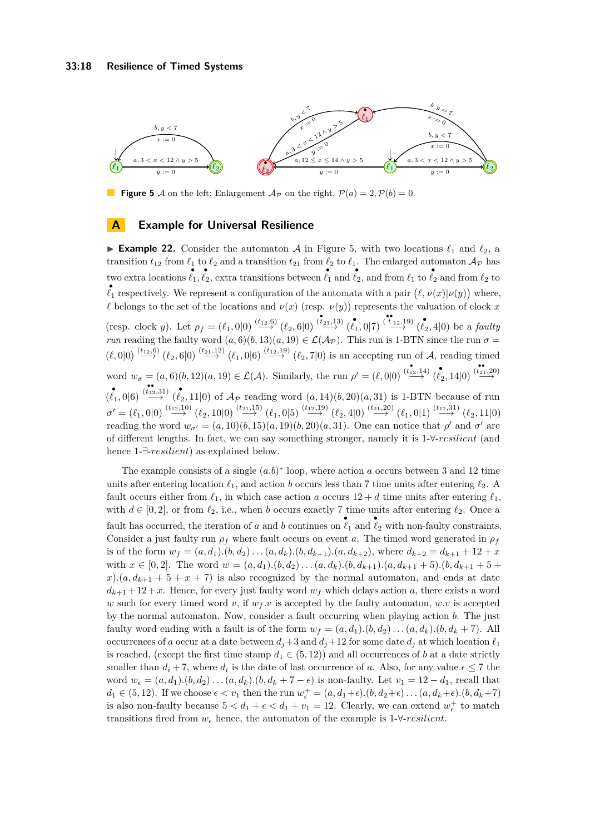<span id="page-17-1"></span>

**Figure 5** A on the left; Enlargement  $\mathcal{A}_{\mathcal{P}}$  on the right,  $\mathcal{P}(a) = 2$ ,  $\mathcal{P}(b) = 0$ .

## <span id="page-17-0"></span>**A Example for Universal Resilience**

**► Example 22.** Consider the automaton  $\mathcal A$  in Figure [5,](#page-17-1) with two locations  $\ell_1$  and  $\ell_2$ , a transition  $t_{12}$  from  $\ell_1$  to  $\ell_2$  and a transition  $t_{21}$  from  $\ell_2$  to  $\ell_1$ . The enlarged automaton  $\mathcal{A}_{\mathcal{P}}$  has two extra locations  $\ell_1, \ell_2$ , extra transitions between  $\ell_1$  and  $\ell_2$ , and from  $\ell_1$  to  $\ell_2$  and from  $\ell_2$  to  $\ell_1$  respectively. We represent a configuration of the automata with a pair  $(\ell, \nu(x)|\nu(y))$  where,  $\ell$  belongs to the set of the locations and  $\nu(x)$  (resp.  $\nu(y)$ ) represents the valuation of clock *x* (resp. clock y). Let  $\rho_f = (\ell_1, 0 | 0) \stackrel{(t_{12}, 6)}{\longrightarrow} (\ell_2, 6 | 0) \stackrel{{(\vec{t}_{21}, 13)}}{\longrightarrow} (\ell_1, 0 | 7) \stackrel{{(\vec{t}_{12}, 19)}}{\longrightarrow} (\ell_2, 4 | 0)$  be a faulty *run* reading the faulty word  $(a, 6)(b, 13)(a, 19) \in \mathcal{L}(\mathcal{A}_{\mathcal{P}})$ . This run is 1-BTN since the run  $\sigma =$  $(\ell,0|0) \stackrel{(t_{12},0)}{\longrightarrow} (\ell_2,6|0) \stackrel{(t_{21},12)}{\longrightarrow} (\ell_1,0|6) \stackrel{(t_{12},19)}{\longrightarrow} (\ell_2,7|0)$  is an accepting run of A, reading timed word  $w_{\sigma} = (a, 6)(b, 12)(a, 19) \in \mathcal{L}(\mathcal{A})$ . Similarly, the run  $\rho' = (\ell, 0|0) \stackrel{\binom{1}{t_{12}, 14}}{\longrightarrow} \binom{1}{t_{21}, 14|0} \stackrel{\binom{1}{t_{21}, 20}}{\longrightarrow}$  $(\ell_1, 0|6) \stackrel{\binom{2}{t_{12},31}}{\longrightarrow} (\ell_2, 11|0)$  of  $\mathcal{A}_{\mathcal{P}}$  reading word  $(a, 14)(b, 20)(a, 31)$  is 1-BTN because of run  $\sigma' = (\ell_1,0|0) \stackrel{(t_{12},10)}{\longrightarrow} (\ell_2,10|0) \stackrel{(t_{21},15)}{\longrightarrow} (\ell_1,0|5) \stackrel{(t_{12},19)}{\longrightarrow} (\ell_2,4|0) \stackrel{(t_{21},20)}{\longrightarrow} (\ell_1,0|1) \stackrel{(t_{12},31)}{\longrightarrow} (\ell_2,11|0)$ reading the word  $w_{\sigma'} = (a, 10)(b, 15)(a, 19)(b, 20)(a, 31)$ . One can notice that  $\rho'$  and  $\sigma'$  are of different lengths. In fact, we can say something stronger, namely it is 1-∀-*resilient* (and hence 1-∃-*resilient*) as explained below.

The example consists of a single  $(a.b)^*$  loop, where action *a* occurs between 3 and 12 time units after entering location  $\ell_1$ , and action *b* occurs less than 7 time units after entering  $\ell_2$ . A fault occurs either from  $\ell_1$ , in which case action *a* occurs  $12 + d$  time units after entering  $\ell_1$ , with  $d \in [0,2]$ , or from  $\ell_2$ , i.e., when *b* occurs exactly 7 time units after entering  $\ell_2$ . Once a fault has occurred, the iteration of *a* and *b* continues on  $\ell_1$  and  $\ell_2$  with non-faulty constraints. Consider a just faulty run  $\rho_f$  where fault occurs on event *a*. The timed word generated in  $\rho_f$ is of the form  $w_f = (a, d_1) \cdot (b, d_2) \cdot \ldots \cdot (a, d_k) \cdot (b, d_{k+1}) \cdot (a, d_{k+2})$ , where  $d_{k+2} = d_{k+1} + 12 + x$ with  $x \in [0,2]$ . The word  $w = (a, d_1) \cdot (b, d_2) \cdot \ldots \cdot (a, d_k) \cdot (b, d_{k+1}) \cdot (a, d_{k+1} + 5) \cdot (b, d_{k+1} + 5 +$  $x$ ). $(a, d_{k+1} + 5 + x + 7)$  is also recognized by the normal automaton, and ends at date  $d_{k+1} + 12 + x$ . Hence, for every just faulty word  $w_f$  which delays action *a*, there exists a word *w* such for every timed word *v*, if  $w_f$ *, v* is accepted by the faulty automaton,  $w$ *, v* is accepted by the normal automaton. Now, consider a fault occurring when playing action *b*. The just faulty word ending with a fault is of the form  $w_f = (a, d_1) \cdot (b, d_2) \cdot \ldots \cdot (a, d_k) \cdot (b, d_k + 7)$ . All occurrences of *a* occur at a date between  $d_j + 3$  and  $d_j + 12$  for some date  $d_j$  at which location  $\ell_1$ is reached, (except the first time stamp  $d_1 \in (5, 12)$ ) and all occurrences of *b* at a date strictly smaller than  $d_i + 7$ , where  $d_i$  is the date of last occurrence of *a*. Also, for any value  $\epsilon \leq 7$  the word  $w_ε = (a, d_1)$ . $(b, d_2)$ ... $(a, d_k)$ . $(b, d_k + 7 - ε)$  is non-faulty. Let  $v_1 = 12 - d_1$ , recall that *d*<sub>1</sub> ∈ (5, 12). If we choose  $\epsilon < v_1$  then the run  $w_{\epsilon}^+ = (a, d_1 + \epsilon) \cdot (b, d_2 + \epsilon) \cdot \ldots \cdot (a, d_k + \epsilon) \cdot (b, d_k + 7)$ is also non-faulty because  $5 < d_1 + \epsilon < d_1 + v_1 = 12$ . Clearly, we can extend  $w_{\epsilon}^+$  to match transitions fired from  $w_{\epsilon}$  hence, the automaton of the example is 1- $\forall$ -resilient.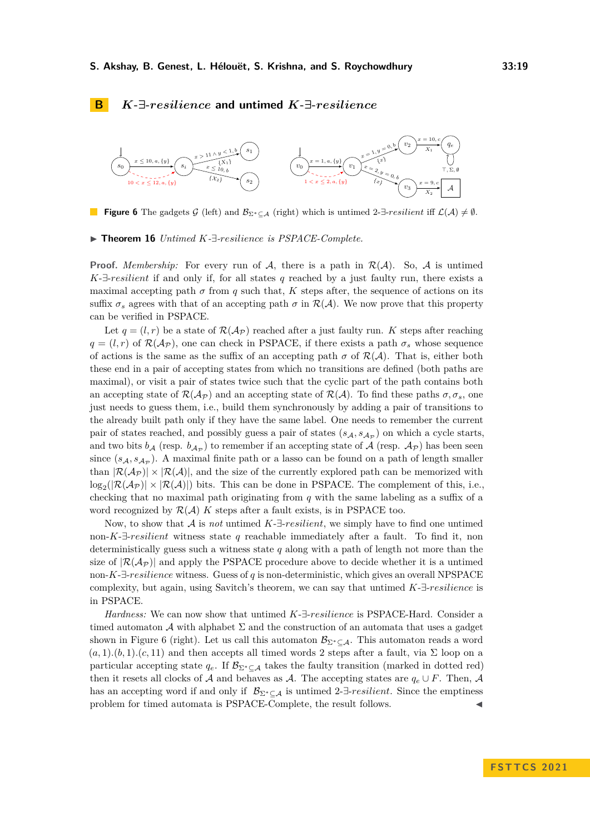## <span id="page-18-0"></span>**B** *K***-∃-***resilience* **and untimed** *K***-∃-***resilience*

<span id="page-18-1"></span>

**Figure 6** The gadgets G (left) and  $\mathcal{B}_{\Sigma^* \subset \mathcal{A}}$  (right) which is untimed 2- $\exists$ -*resilient* iff  $\mathcal{L}(\mathcal{A}) \neq \emptyset$ .  $\blacksquare$ 

## ▶ **Theorem [16](#page-13-1)** *Untimed K-*∃*-resilience is PSPACE-Complete.*

**Proof.** *Membership:* For every run of  $A$ , there is a path in  $R(A)$ . So,  $A$  is untimed *K*-∃-*resilient* if and only if, for all states *q* reached by a just faulty run, there exists a maximal accepting path  $\sigma$  from  $q$  such that,  $K$  steps after, the sequence of actions on its suffix  $\sigma_s$  agrees with that of an accepting path  $\sigma$  in  $\mathcal{R}(\mathcal{A})$ . We now prove that this property can be verified in PSPACE.

Let  $q = (l, r)$  be a state of  $\mathcal{R}(\mathcal{A}_{\mathcal{P}})$  reached after a just faulty run. *K* steps after reaching  $q = (l, r)$  of  $\mathcal{R}(\mathcal{A}_{\mathcal{P}})$ , one can check in PSPACE, if there exists a path  $\sigma_s$  whose sequence of actions is the same as the suffix of an accepting path  $\sigma$  of  $\mathcal{R}(\mathcal{A})$ . That is, either both these end in a pair of accepting states from which no transitions are defined (both paths are maximal), or visit a pair of states twice such that the cyclic part of the path contains both an accepting state of  $\mathcal{R}(\mathcal{A}_{\mathcal{P}})$  and an accepting state of  $\mathcal{R}(\mathcal{A})$ . To find these paths  $\sigma, \sigma_s$ , one just needs to guess them, i.e., build them synchronously by adding a pair of transitions to the already built path only if they have the same label. One needs to remember the current pair of states reached, and possibly guess a pair of states  $(s_A, s_{A_P})$  on which a cycle starts, and two bits  $b_A$  (resp.  $b_{A_P}$ ) to remember if an accepting state of  $A$  (resp.  $A_P$ ) has been seen since  $(s_{\mathcal{A}}, s_{\mathcal{A}_{\mathcal{P}}})$ . A maximal finite path or a lasso can be found on a path of length smaller than  $|\mathcal{R}(\mathcal{A}_{\mathcal{P}})| \times |\mathcal{R}(\mathcal{A})|$ , and the size of the currently explored path can be memorized with  $\log_2(|\mathcal{R}(\mathcal{A}_{\mathcal{P}})| \times |\mathcal{R}(\mathcal{A})|)$  bits. This can be done in PSPACE. The complement of this, i.e., checking that no maximal path originating from *q* with the same labeling as a suffix of a word recognized by  $\mathcal{R}(\mathcal{A})$  *K* steps after a fault exists, is in PSPACE too.

Now, to show that A is *not* untimed *K*-∃-*resilient*, we simply have to find one untimed non-*K*-∃-*resilient* witness state *q* reachable immediately after a fault. To find it, non deterministically guess such a witness state *q* along with a path of length not more than the size of  $\mathcal{R}(\mathcal{A}_{\mathcal{P}})$  and apply the PSPACE procedure above to decide whether it is a untimed non-*K*-∃-*resilience* witness. Guess of *q* is non-deterministic, which gives an overall NPSPACE complexity, but again, using Savitch's theorem, we can say that untimed *K*-∃-*resilience* is in PSPACE.

*Hardness:* We can now show that untimed *K*-∃-*resilience* is PSPACE-Hard. Consider a timed automaton  $\mathcal A$  with alphabet  $\Sigma$  and the construction of an automata that uses a gadget shown in Figure [6](#page-18-1) (right). Let us call this automaton  $\mathcal{B}_{\Sigma^*\subseteq\mathcal{A}}$ . This automaton reads a word  $(a, 1)$ *.*(*b*, 1)*.*(*c*, 11) and then accepts all timed words 2 steps after a fault, via  $\Sigma$  loop on a particular accepting state  $q_e$ . If  $\mathcal{B}_{\Sigma^*\subseteq A}$  takes the faulty transition (marked in dotted red) then it resets all clocks of A and behaves as A. The accepting states are  $q_e \cup F$ . Then, A has an accepting word if and only if  $\mathcal{B}_{\Sigma^* \subset \mathcal{A}}$  is untimed 2-∃-*resilient*. Since the emptiness problem for timed automata is PSPACE-Complete, the result follows. ◀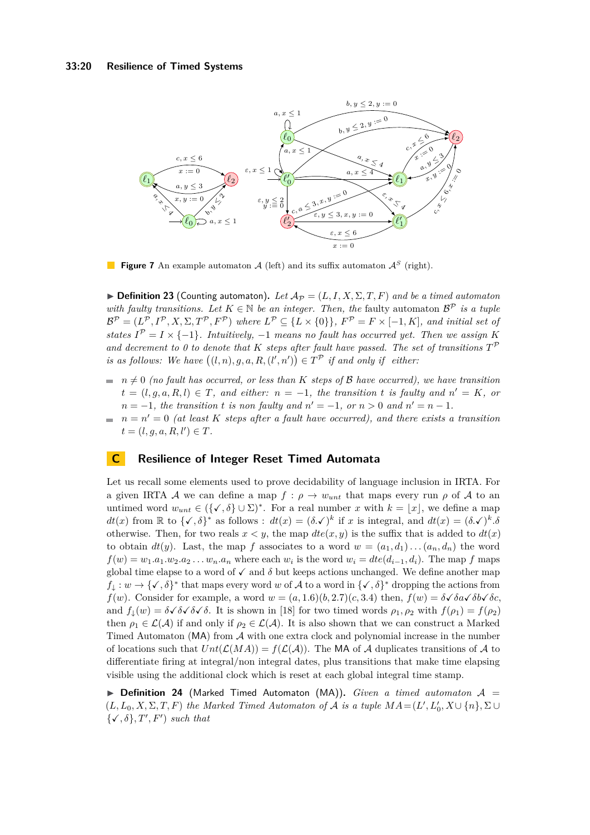#### **33:20 Resilience of Timed Systems**

<span id="page-19-1"></span>

**Figure 7** An example automaton  $\mathcal{A}$  (left) and its suffix automaton  $\mathcal{A}^S$  (right).

 $\blacktriangleright$  **Definition 23** (Counting automaton). Let  $\mathcal{A}_{\mathcal{P}} = (L, I, X, \Sigma, T, F)$  and be a timed automaton *with faulty transitions. Let*  $K \in \mathbb{N}$  *be an integer. Then, the faulty automaton*  $\mathcal{B}^{\mathcal{P}}$  *is a tuple*  $\mathcal{B}^{\mathcal{P}} = (L^{\mathcal{P}}, I^{\mathcal{P}}, X, \Sigma, T^{\mathcal{P}}, F^{\mathcal{P}})$  where  $L^{\mathcal{P}} \subseteq \{L \times \{0\}\}, F^{\mathcal{P}} = F \times [-1, K]$ , and initial set of *states*  $I^{\mathcal{P}} = I \times \{-1\}$ *. Intuitively,*  $-1$  *means no fault has occurred yet. Then we assign K* and decrement to 0 to denote that K steps after fault have passed. The set of transitions  $T^{\mathcal{P}}$ *is as follows:* We have  $((l, n), g, a, R, (l', n')) \in T^{\mathcal{P}}$  *if and only if either:* 

- $n \neq 0$  *(no fault has occurred, or less than K steps of*  $\beta$  *have occurred), we have transition*  $t = (l, g, a, R, l) \in T$ , and either:  $n = -1$ , the transition *t* is faulty and  $n' = K$ , or  $n = -1$ , the transition *t* is non faulty and  $n' = -1$ , or  $n > 0$  and  $n' = n - 1$ .
- $n = n' = 0$  *(at least K steps after a fault have occurred), and there exists a transition*  $\blacksquare$  $t = (l, g, a, R, l') \in T$ *.*

#### <span id="page-19-0"></span>**C Resilience of Integer Reset Timed Automata**

Let us recall some elements used to prove decidability of language inclusion in IRTA. For a given IRTA A we can define a map  $f : \rho \to w_{unt}$  that maps every run  $\rho$  of A to an untimed word  $w_{unt} \in (\{\checkmark, \delta\} \cup \Sigma)^*$ . For a real number *x* with  $k = \lfloor x \rfloor$ , we define a map  $dt(x)$  from  $\mathbb R$  to  $\{\checkmark, \delta\}^*$  as follows :  $dt(x) = (\delta \mathcal{N})^k$  if *x* is integral, and  $dt(x) = (\delta \mathcal{N})^k \delta$ . otherwise. Then, for two reals  $x < y$ , the map  $dte(x, y)$  is the suffix that is added to  $dtd(x)$ to obtain  $dt(y)$ . Last, the map f associates to a word  $w = (a_1, d_1) \dots (a_n, d_n)$  the word  $f(w) = w_1.a_1.w_2.a_2... w_n.a_n$  where each  $w_i$  is the word  $w_i = dte(d_{i-1}, d_i)$ . The map f maps global time elapse to a word of  $\checkmark$  and  $\delta$  but keeps actions unchanged. We define another map  $f_{\downarrow}: w \to {\{\checkmark}, \delta\}}^*$  that maps every word *w* of A to a word in  ${\{\checkmark, \delta\}}^*$  dropping the actions from *f*(*w*). Consider for example, a word  $w = (a, 1.6)(b, 2.7)(c, 3.4)$  then,  $f(w) = \delta \sqrt{\delta a} \sqrt{\delta b} \sqrt{\delta c}$ , and  $f_{\downarrow}(w) = \delta \sqrt{\delta} \sqrt{\delta} \sqrt{\delta}$ . It is shown in [\[18\]](#page-16-9) for two timed words  $\rho_1, \rho_2$  with  $f(\rho_1) = f(\rho_2)$ then  $\rho_1 \in \mathcal{L}(\mathcal{A})$  if and only if  $\rho_2 \in \mathcal{L}(\mathcal{A})$ . It is also shown that we can construct a Marked Timed Automaton  $(MA)$  from  $A$  with one extra clock and polynomial increase in the number of locations such that  $Unt(\mathcal{L}(MA)) = f(\mathcal{L}(A))$ . The MA of A duplicates transitions of A to differentiate firing at integral/non integral dates, plus transitions that make time elapsing visible using the additional clock which is reset at each global integral time stamp.

▶ **Definition 24** (Marked Timed Automaton (MA))**.** *Given a timed automaton* A =  $(L, L_0, X, \Sigma, T, F)$  *the Marked Timed Automaton of* A *is a tuple*  $MA = (L', L'_0, X \cup \{n\}, \Sigma \cup$  $\{\checkmark,\delta\},T',F')$  *such that*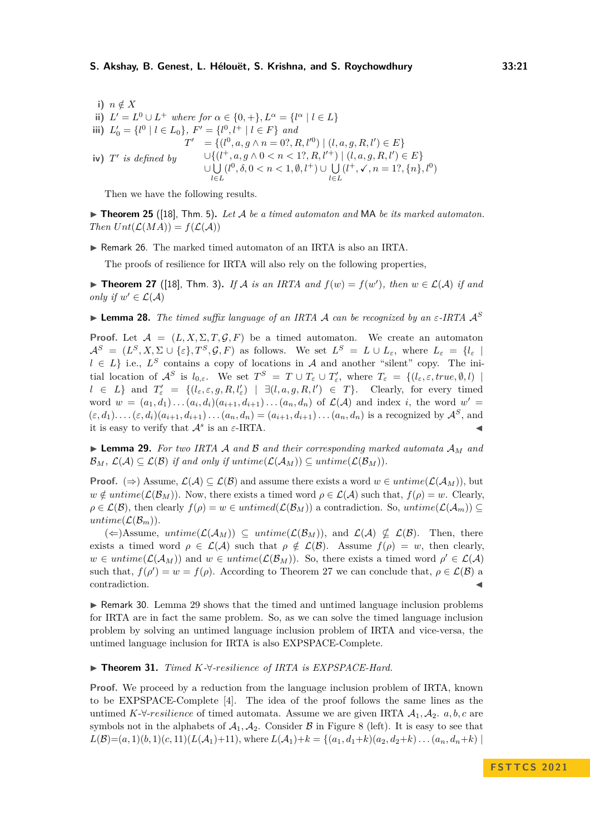i) 
$$
n \notin X
$$
  
\nii)  $L' = L^0 \cup L^+$  where for  $\alpha \in \{0, +\}, L^{\alpha} = \{l^{\alpha} \mid l \in L\}$   
\niii)  $L'_0 = \{l^0 \mid l \in L_0\}, F' = \{l^0, l^+ \mid l \in F\}$  and  
\n $T' = \{(l^0, a, g \land n = 0?, R, l'^0) \mid (l, a, g, R, l') \in E\}$   
\niv)  $T'$  is defined by  
\n $\bigcup_{l \in L} \{(l^+, a, g \land 0 < n < 1?, R, l'^+) \mid (l, a, g, R, l') \in E\}$   
\n $\bigcup_{l \in L} \{l^0, \delta, 0 < n < 1, \emptyset, l^+) \cup \bigcup_{l \in L} \{l^+, \checkmark, n = 1?, \{n\}, l^0\}$ 

Then we have the following results.

▶ **Theorem 25** ([\[18\]](#page-16-9), Thm. 5)**.** *Let* A *be a timed automaton and* MA *be its marked automaton. Then*  $Unt( $\mathcal{L}(MA)$ ) = f( $\mathcal{L}(A)$ )$ 

▶ Remark 26. The marked timed automaton of an IRTA is also an IRTA.

The proofs of resilience for IRTA will also rely on the following properties,

<span id="page-20-0"></span>▶ **Theorem 27** ([\[18\]](#page-16-9), Thm. 3). If A is an IRTA and  $f(w) = f(w')$ , then  $w \in \mathcal{L}(\mathcal{A})$  if and *only if*  $w' \in \mathcal{L}(\mathcal{A})$ 

▶ **Lemma 28.** *The timed suffix language of an IRTA* A *can be recognized by an ε-IRTA* A*<sup>S</sup>*

**Proof.** Let  $A = (L, X, \Sigma, T, \mathcal{G}, F)$  be a timed automaton. We create an automaton  $\mathcal{A}^S = (L^S, X, \Sigma \cup \{\varepsilon\}, T^S, \mathcal{G}, F)$  as follows. We set  $L^S = L \cup L_{\varepsilon}$ , where  $L_{\varepsilon} = \{l_{\varepsilon} \mid$  $l \in L$  i.e.,  $L^S$  contains a copy of locations in A and another "silent" copy. The initial location of  $\mathcal{A}^S$  is  $l_{0,\varepsilon}$ . We set  $T^S = T \cup T_{\varepsilon} \cup T'_{\varepsilon}$ , where  $T_{\varepsilon} = \{ (l_{\varepsilon}, \varepsilon, true, \emptyset, l) \mid$  $l \in L$  and  $T'_{\varepsilon} = \{(l_{\varepsilon}, \varepsilon, g, R, l'_{\varepsilon}) \mid \exists (l, a, g, R, l') \in T\}$ . Clearly, for every timed word  $w = (a_1, d_1) \dots (a_i, d_i) (a_{i+1}, d_{i+1}) \dots (a_n, d_n)$  of  $\mathcal{L}(\mathcal{A})$  and index *i*, the word  $w' =$  $(\varepsilon, d_1) \dots (\varepsilon, d_i) (a_{i+1}, d_{i+1}) \dots (a_n, d_n) = (a_{i+1}, d_{i+1}) \dots (a_n, d_n)$  is a recognized by  $\mathcal{A}^S$ , and it is easy to verify that  $\mathcal{A}^s$  is an  $\varepsilon$ -IRTA.

<span id="page-20-1"></span> $\blacktriangleright$  **Lemma 29.** For two IRTA A and B and their corresponding marked automata  $A_M$  and  $\mathcal{B}_M$ *,*  $\mathcal{L}(\mathcal{A}) \subseteq \mathcal{L}(\mathcal{B})$  *if and only if*  $untime(\mathcal{L}(\mathcal{A}_M)) \subseteq untime(\mathcal{L}(\mathcal{B}_M))$ *.* 

**Proof.** ( $\Rightarrow$ ) Assume,  $\mathcal{L}(\mathcal{A}) \subseteq \mathcal{L}(\mathcal{B})$  and assume there exists a word  $w \in \text{untime}(\mathcal{L}(\mathcal{A}_M))$ , but  $w \notin \text{untime}(\mathcal{L}(\mathcal{B}_M))$ . Now, there exists a timed word  $\rho \in \mathcal{L}(\mathcal{A})$  such that,  $f(\rho) = w$ . Clearly,  $\rho \in \mathcal{L}(\mathcal{B})$ , then clearly  $f(\rho) = w \in untimed(\mathcal{L}(\mathcal{B}_M))$  a contradiction. So, *untime*( $\mathcal{L}(\mathcal{A}_m)$ ) ⊆ *untime*( $\mathcal{L}(\mathcal{B}_m)$ ).

(←)Assume, *untime*( $\mathcal{L}(\mathcal{A}_M)$ ) ⊆ *untime*( $\mathcal{L}(\mathcal{B}_M)$ ), and  $\mathcal{L}(\mathcal{A}) \nsubseteq \mathcal{L}(\mathcal{B})$ . Then, there exists a timed word  $\rho \in \mathcal{L}(\mathcal{A})$  such that  $\rho \notin \mathcal{L}(\mathcal{B})$ . Assume  $f(\rho) = w$ , then clearly,  $w \in \text{untime}(\mathcal{L}(\mathcal{A}_M))$  and  $w \in \text{untime}(\mathcal{L}(\mathcal{B}_M))$ . So, there exists a timed word  $\rho' \in \mathcal{L}(\mathcal{A})$ such that,  $f(\rho') = w = f(\rho)$ . According to Theorem [27](#page-20-0) we can conclude that,  $\rho \in \mathcal{L}(\mathcal{B})$  a contradiction.

<span id="page-20-2"></span>▶ Remark 30. Lemma [29](#page-20-1) shows that the timed and untimed language inclusion problems for IRTA are in fact the same problem. So, as we can solve the timed language inclusion problem by solving an untimed language inclusion problem of IRTA and vice-versa, the untimed language inclusion for IRTA is also EXPSPACE-Complete.

#### <span id="page-20-3"></span>▶ **Theorem 31.** *Timed K-*∀*-resilience of IRTA is EXPSPACE-Hard.*

**Proof.** We proceed by a reduction from the language inclusion problem of IRTA, known to be EXPSPACE-Complete [\[4\]](#page-16-17). The idea of the proof follows the same lines as the untimed *K*- $\forall$ -resilience of timed automata. Assume we are given IRTA  $A_1$ ,  $A_2$ ,  $a, b, c$  are symbols not in the alphabets of  $A_1, A_2$ . Consider B in Figure [8](#page-21-1) (left). It is easy to see that  $L(\mathcal{B}) = (a, 1)(b, 1)(c, 11)(L(\mathcal{A}_1)+11)$ , where  $L(\mathcal{A}_1)+k = \{(a_1, d_1+k)(a_2, d_2+k)\dots(a_n, d_n+k) \mid$